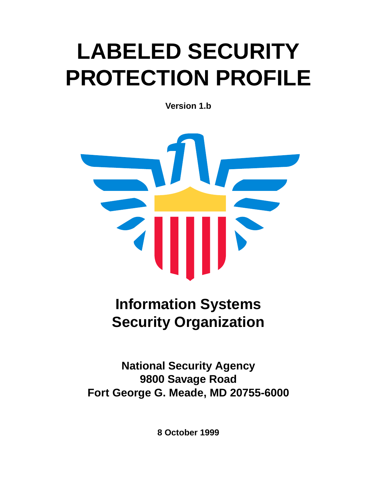# **LABELED SECURITY PROTECTION PROFILE**

**Version 1.b**



## **Information Systems Security Organization**

**National Security Agency 9800 Savage Road Fort George G. Meade, MD 20755-6000**

**8 October 1999**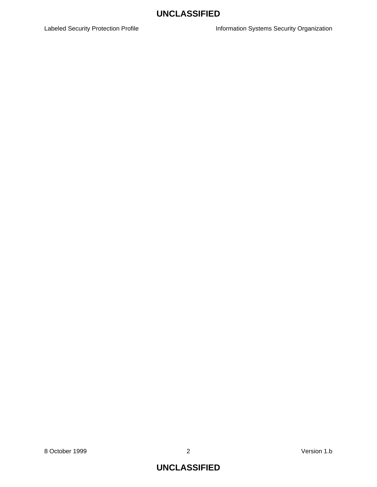Labeled Security Protection Profile **Information Systems Security Organization**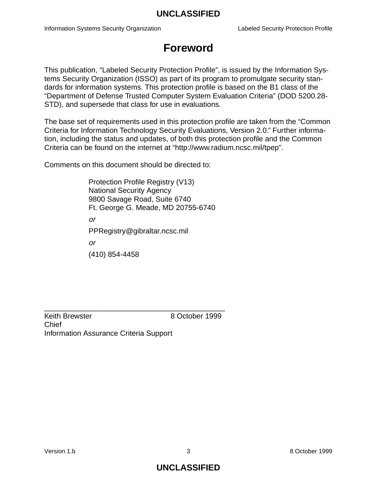## **Foreword**

<span id="page-2-0"></span>This publication, "Labeled Security Protection Profile", is issued by the Information Systems Security Organization (ISSO) as part of its program to promulgate security standards for information systems. This protection profile is based on the B1 class of the "Department of Defense Trusted Computer System Evaluation Criteria" (DOD 5200.28- STD), and supersede that class for use in evaluations.

The base set of requirements used in this protection profile are taken from the "Common Criteria for Information Technology Security Evaluations, Version 2.0." Further information, including the status and updates, of both this protection profile and the Common Criteria can be found on the internet at "http://www.radium.ncsc.mil/tpep".

Comments on this document should be directed to:

Keith Brewster 8 October 1999 Chief Information Assurance Criteria Support

\_\_\_\_\_\_\_\_\_\_\_\_\_\_\_\_\_\_\_\_\_\_\_\_\_\_\_\_\_\_\_\_\_\_\_\_\_\_\_\_\_\_\_\_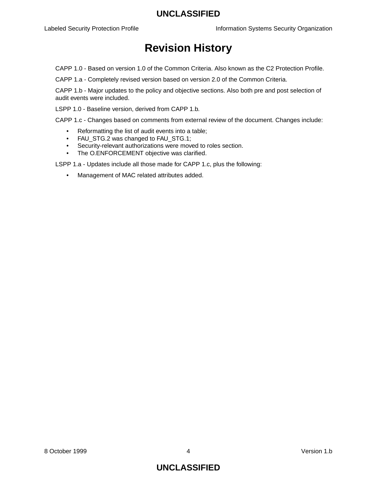## **Revision History**

CAPP 1.0 - Based on version 1.0 of the Common Criteria. Also known as the C2 Protection Profile.

CAPP 1.a - Completely revised version based on version 2.0 of the Common Criteria.

CAPP 1.b - Major updates to the policy and objective sections. Also both pre and post selection of audit events were included.

LSPP 1.0 - Baseline version, derived from CAPP 1.b.

CAPP 1.c - Changes based on comments from external review of the document. Changes include:

- Reformatting the list of audit events into a table;
- FAU\_STG.2 was changed to FAU\_STG.1;
- Security-relevant authorizations were moved to roles section.
- The O.ENFORCEMENT objective was clarified.

LSPP 1.a - Updates include all those made for CAPP 1.c, plus the following:

• Management of MAC related attributes added.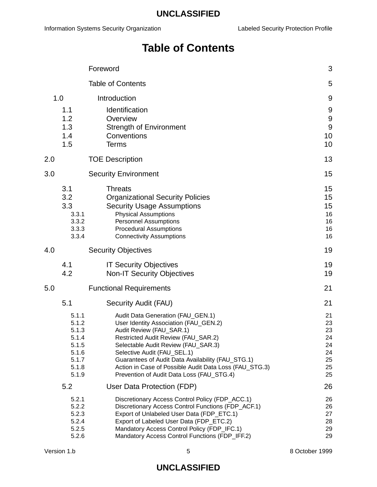## **Table of Contents**

|     |                                                                               | Foreword                                                                                                                                                                                                                                                                                                                                                                        | 3                                                   |
|-----|-------------------------------------------------------------------------------|---------------------------------------------------------------------------------------------------------------------------------------------------------------------------------------------------------------------------------------------------------------------------------------------------------------------------------------------------------------------------------|-----------------------------------------------------|
|     |                                                                               | <b>Table of Contents</b>                                                                                                                                                                                                                                                                                                                                                        | 5                                                   |
| 1.0 |                                                                               | Introduction                                                                                                                                                                                                                                                                                                                                                                    | 9                                                   |
|     | 1.1<br>1.2<br>1.3<br>1.4<br>1.5                                               | Identification<br>Overview<br><b>Strength of Environment</b><br>Conventions<br><b>Terms</b>                                                                                                                                                                                                                                                                                     | 9<br>$\boldsymbol{9}$<br>$\overline{9}$<br>10<br>10 |
| 2.0 |                                                                               | <b>TOE Description</b>                                                                                                                                                                                                                                                                                                                                                          | 13                                                  |
| 3.0 |                                                                               | <b>Security Environment</b>                                                                                                                                                                                                                                                                                                                                                     | 15                                                  |
|     | 3.1<br>3.2<br>3.3<br>3.3.1<br>3.3.2<br>3.3.3<br>3.3.4                         | <b>Threats</b><br><b>Organizational Security Policies</b><br><b>Security Usage Assumptions</b><br><b>Physical Assumptions</b><br><b>Personnel Assumptions</b><br><b>Procedural Assumptions</b><br><b>Connectivity Assumptions</b>                                                                                                                                               | 15<br>15<br>15<br>16<br>16<br>16<br>16              |
| 4.0 |                                                                               | <b>Security Objectives</b>                                                                                                                                                                                                                                                                                                                                                      | 19                                                  |
|     | 4.1<br>4.2                                                                    | <b>IT Security Objectives</b><br><b>Non-IT Security Objectives</b>                                                                                                                                                                                                                                                                                                              | 19<br>19                                            |
| 5.0 |                                                                               | <b>Functional Requirements</b>                                                                                                                                                                                                                                                                                                                                                  | 21                                                  |
|     | 5.1                                                                           | Security Audit (FAU)                                                                                                                                                                                                                                                                                                                                                            | 21                                                  |
|     | 5.1.1<br>5.1.2<br>5.1.3<br>5.1.4<br>5.1.5<br>5.1.6<br>5.1.7<br>5.1.8<br>5.1.9 | Audit Data Generation (FAU_GEN.1)<br>User Identity Association (FAU_GEN.2)<br>Audit Review (FAU_SAR.1)<br>Restricted Audit Review (FAU_SAR.2)<br>Selectable Audit Review (FAU_SAR.3)<br>Selective Audit (FAU_SEL.1)<br>Guarantees of Audit Data Availability (FAU_STG.1)<br>Action in Case of Possible Audit Data Loss (FAU_STG.3)<br>Prevention of Audit Data Loss (FAU_STG.4) | 21<br>23<br>23<br>24<br>24<br>24<br>25<br>25<br>25  |
|     | 5.2                                                                           | User Data Protection (FDP)                                                                                                                                                                                                                                                                                                                                                      | 26                                                  |
|     | 5.2.1<br>5.2.2<br>5.2.3<br>5.2.4<br>5.2.5<br>5.2.6                            | Discretionary Access Control Policy (FDP_ACC.1)<br>Discretionary Access Control Functions (FDP_ACF.1)<br>Export of Unlabeled User Data (FDP_ETC.1)<br>Export of Labeled User Data (FDP_ETC.2)<br>Mandatory Access Control Policy (FDP_IFC.1)<br>Mandatory Access Control Functions (FDP_IFF.2)                                                                                  | 26<br>26<br>27<br>28<br>29<br>29                    |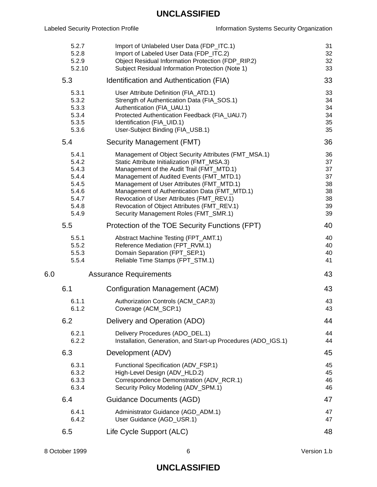|     |                                                                               | <b>Labeled Security Protection Profile</b>                                                                                                                                                                                                                                                                                                                              | Information Systems Security Organization                     |                                                    |
|-----|-------------------------------------------------------------------------------|-------------------------------------------------------------------------------------------------------------------------------------------------------------------------------------------------------------------------------------------------------------------------------------------------------------------------------------------------------------------------|---------------------------------------------------------------|----------------------------------------------------|
|     | 5.2.7<br>5.2.8<br>5.2.9<br>5.2.10                                             | Import of Unlabeled User Data (FDP_ITC.1)<br>Import of Labeled User Data (FDP_ITC.2)<br>Object Residual Information Protection (FDP_RIP.2)<br>Subject Residual Information Protection (Note 1)                                                                                                                                                                          |                                                               | 31<br>32<br>32<br>33                               |
|     | 5.3                                                                           | Identification and Authentication (FIA)                                                                                                                                                                                                                                                                                                                                 |                                                               | 33                                                 |
|     | 5.3.1<br>5.3.2<br>5.3.3<br>5.3.4<br>5.3.5<br>5.3.6                            | User Attribute Definition (FIA_ATD.1)<br>Strength of Authentication Data (FIA_SOS.1)<br>Authentication (FIA_UAU.1)<br>Protected Authentication Feedback (FIA_UAU.7)<br>Identification (FIA_UID.1)<br>User-Subject Binding (FIA_USB.1)                                                                                                                                   |                                                               | 33<br>34<br>34<br>34<br>35<br>35                   |
|     | 5.4                                                                           | Security Management (FMT)                                                                                                                                                                                                                                                                                                                                               |                                                               | 36                                                 |
|     | 5.4.1<br>5.4.2<br>5.4.3<br>5.4.4<br>5.4.5<br>5.4.6<br>5.4.7<br>5.4.8<br>5.4.9 | Static Attribute Initialization (FMT_MSA.3)<br>Management of the Audit Trail (FMT_MTD.1)<br>Management of Audited Events (FMT_MTD.1)<br>Management of User Attributes (FMT_MTD.1)<br>Management of Authentication Data (FMT_MTD.1)<br>Revocation of User Attributes (FMT_REV.1)<br>Revocation of Object Attributes (FMT_REV.1)<br>Security Management Roles (FMT_SMR.1) | Management of Object Security Attributes (FMT_MSA.1)          | 36<br>37<br>37<br>37<br>38<br>38<br>38<br>39<br>39 |
|     | 5.5                                                                           | Protection of the TOE Security Functions (FPT)                                                                                                                                                                                                                                                                                                                          |                                                               | 40                                                 |
|     | 5.5.1<br>5.5.2<br>5.5.3<br>5.5.4                                              | Abstract Machine Testing (FPT_AMT.1)<br>Reference Mediation (FPT_RVM.1)<br>Domain Separation (FPT_SEP.1)<br>Reliable Time Stamps (FPT_STM.1)                                                                                                                                                                                                                            |                                                               | 40<br>40<br>40<br>41                               |
| 6.0 |                                                                               | <b>Assurance Requirements</b>                                                                                                                                                                                                                                                                                                                                           |                                                               | 43                                                 |
|     | 6.1                                                                           | <b>Configuration Management (ACM)</b>                                                                                                                                                                                                                                                                                                                                   |                                                               | 43                                                 |
|     | 6.1.1<br>6.1.2                                                                | Authorization Controls (ACM_CAP.3)<br>Coverage (ACM_SCP.1)                                                                                                                                                                                                                                                                                                              |                                                               | 43<br>43                                           |
|     | 6.2                                                                           | Delivery and Operation (ADO)                                                                                                                                                                                                                                                                                                                                            |                                                               | 44                                                 |
|     | 6.2.1<br>6.2.2                                                                | Delivery Procedures (ADO_DEL.1)                                                                                                                                                                                                                                                                                                                                         | Installation, Generation, and Start-up Procedures (ADO_IGS.1) | 44<br>44                                           |
|     | 6.3                                                                           | Development (ADV)                                                                                                                                                                                                                                                                                                                                                       |                                                               | 45                                                 |
|     | 6.3.1<br>6.3.2<br>6.3.3<br>6.3.4                                              | Functional Specification (ADV_FSP.1)<br>High-Level Design (ADV_HLD.2)<br>Correspondence Demonstration (ADV_RCR.1)<br>Security Policy Modeling (ADV_SPM.1)                                                                                                                                                                                                               |                                                               | 45<br>45<br>46<br>46                               |
|     | 6.4                                                                           | Guidance Documents (AGD)                                                                                                                                                                                                                                                                                                                                                |                                                               | 47                                                 |
|     | 6.4.1<br>6.4.2                                                                | Administrator Guidance (AGD_ADM.1)<br>User Guidance (AGD_USR.1)                                                                                                                                                                                                                                                                                                         |                                                               | 47<br>47                                           |
|     | 6.5                                                                           | Life Cycle Support (ALC)                                                                                                                                                                                                                                                                                                                                                |                                                               | 48                                                 |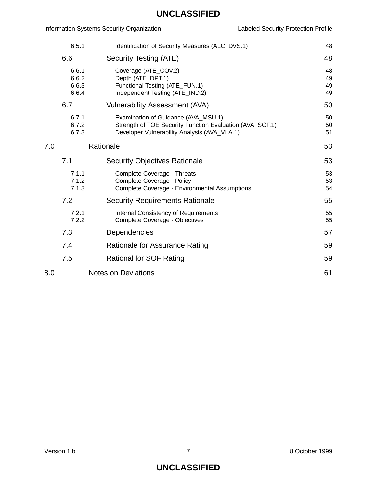|     | 6.5.1                            | Identification of Security Measures (ALC_DVS.1)                                                                                                 | 48                   |
|-----|----------------------------------|-------------------------------------------------------------------------------------------------------------------------------------------------|----------------------|
|     | 6.6                              | Security Testing (ATE)                                                                                                                          | 48                   |
|     | 6.6.1<br>6.6.2<br>6.6.3<br>6.6.4 | Coverage (ATE_COV.2)<br>Depth (ATE_DPT.1)<br>Functional Testing (ATE_FUN.1)<br>Independent Testing (ATE_IND.2)                                  | 48<br>49<br>49<br>49 |
|     | 6.7                              | <b>Vulnerability Assessment (AVA)</b>                                                                                                           | 50                   |
|     | 6.7.1<br>6.7.2<br>6.7.3          | Examination of Guidance (AVA_MSU.1)<br>Strength of TOE Security Function Evaluation (AVA_SOF.1)<br>Developer Vulnerability Analysis (AVA_VLA.1) | 50<br>50<br>51       |
| 7.0 |                                  | Rationale                                                                                                                                       | 53                   |
|     | 7.1                              | <b>Security Objectives Rationale</b>                                                                                                            | 53                   |
|     | 7.1.1<br>7.1.2<br>7.1.3          | Complete Coverage - Threats<br>Complete Coverage - Policy<br>Complete Coverage - Environmental Assumptions                                      | 53<br>53<br>54       |
|     | 7.2                              | <b>Security Requirements Rationale</b>                                                                                                          | 55                   |
|     | 7.2.1<br>7.2.2                   | Internal Consistency of Requirements<br>Complete Coverage - Objectives                                                                          | 55<br>55             |
|     | 7.3                              | Dependencies                                                                                                                                    | 57                   |
|     | 7.4                              | Rationale for Assurance Rating                                                                                                                  | 59                   |
|     | 7.5                              | <b>Rational for SOF Rating</b>                                                                                                                  | 59                   |
| 8.0 |                                  | <b>Notes on Deviations</b>                                                                                                                      | 61                   |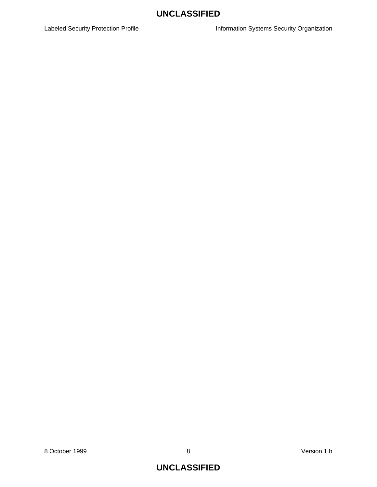Labeled Security Protection Profile **Information Systems Security Organization**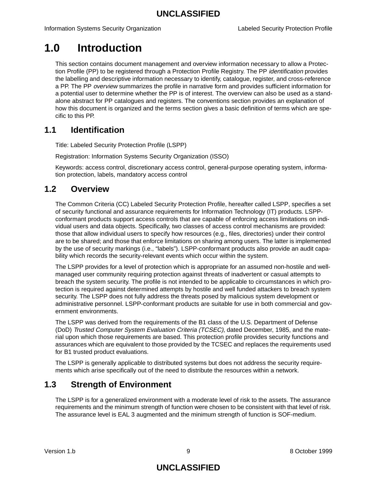## <span id="page-8-0"></span>**1.0 Introduction**

This section contains document management and overview information necessary to allow a Protection Profile (PP) to be registered through a Protection Profile Registry. The PP *identification* provides the labelling and descriptive information necessary to identify, catalogue, register, and cross-reference a PP. The PP overview summarizes the profile in narrative form and provides sufficient information for a potential user to determine whether the PP is of interest. The overview can also be used as a standalone abstract for PP catalogues and registers. The conventions section provides an explanation of how this document is organized and the terms section gives a basic definition of terms which are specific to this PP.

## **1.1 Identification**

Title: Labeled Security Protection Profile (LSPP)

Registration: Information Systems Security Organization (ISSO)

Keywords: access control, discretionary access control, general-purpose operating system, information protection, labels, mandatory access control

### **1.2 Overview**

The Common Criteria (CC) Labeled Security Protection Profile, hereafter called LSPP, specifies a set of security functional and assurance requirements for Information Technology (IT) products. LSPPconformant products support access controls that are capable of enforcing access limitations on individual users and data objects. Specifically, two classes of access control mechanisms are provided: those that allow individual users to specify how resources (e.g., files, directories) under their control are to be shared; and those that enforce limitations on sharing among users. The latter is implemented by the use of security markings (i.e., "labels"). LSPP-conformant products also provide an audit capability which records the security-relevant events which occur within the system.

The LSPP provides for a level of protection which is appropriate for an assumed non-hostile and wellmanaged user community requiring protection against threats of inadvertent or casual attempts to breach the system security. The profile is not intended to be applicable to circumstances in which protection is required against determined attempts by hostile and well funded attackers to breach system security. The LSPP does not fully address the threats posed by malicious system development or administrative personnel. LSPP-conformant products are suitable for use in both commercial and government environments.

The LSPP was derived from the requirements of the B1 class of the U.S. Department of Defense (DoD) Trusted Computer System Evaluation Criteria (TCSEC), dated December, 1985, and the material upon which those requirements are based. This protection profile provides security functions and assurances which are equivalent to those provided by the TCSEC and replaces the requirements used for B1 trusted product evaluations.

The LSPP is generally applicable to distributed systems but does not address the security requirements which arise specifically out of the need to distribute the resources within a network.

## **1.3 Strength of Environment**

The LSPP is for a generalized environment with a moderate level of risk to the assets. The assurance requirements and the minimum strength of function were chosen to be consistent with that level of risk. The assurance level is EAL 3 augmented and the minimum strength of function is SOF-medium.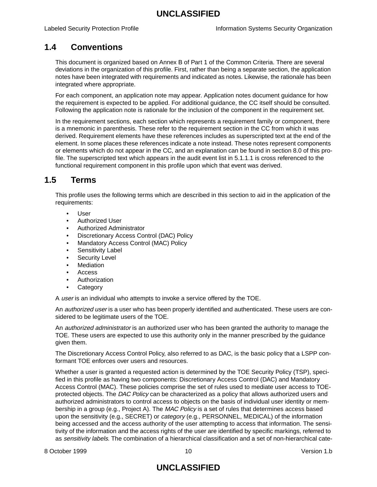### <span id="page-9-0"></span>**1.4 Conventions**

This document is organized based on Annex B of Part 1 of the Common Criteria. There are several deviations in the organization of this profile. First, rather than being a separate section, the application notes have been integrated with requirements and indicated as notes. Likewise, the rationale has been integrated where appropriate.

For each component, an application note may appear. Application notes document guidance for how the requirement is expected to be applied. For additional guidance, the CC itself should be consulted. Following the application note is rationale for the inclusion of the component in the requirement set.

In the requirement sections, each section which represents a requirement family or component, there is a mnemonic in parenthesis. These refer to the requirement section in the CC from which it was derived. Requirement elements have these references includes as superscripted text at the end of the element. In some places these references indicate a note instead. These notes represent components or elements which do not appear in the CC, and an explanation can be found in sectio[n 8](#page-60-0).0 of this profile. The superscripted text which appears in the audit event list in [5.1.1.1 is](#page-20-0) cross referenced to the functional requirement component in this profile upon which that event was derived.

#### **1.5 Terms**

This profile uses the following terms which are described in this section to aid in the application of the requirements:

- User
- Authorized User
- Authorized Administrator
- Discretionary Access Control (DAC) Policy
- Mandatory Access Control (MAC) Policy
- Sensitivity Label
- Security Level
- Mediation
- Access
- Authorization
- Category

A *user* is an individual who attempts to invoke a service offered by the TOE.

An *authorized user* is a user who has been properly identified and authenticated. These users are considered to be legitimate users of the TOE.

An *authorized administrator* is an authorized user who has been granted the authority to manage the TOE. These users are expected to use this authority only in the manner prescribed by the guidance given them.

The Discretionary Access Control Policy, also referred to as DAC, is the basic policy that a LSPP conformant TOE enforces over users and resources.

Whether a user is granted a requested action is determined by the TOE Security Policy (TSP), specified in this profile as having two components: Discretionary Access Control (DAC) and Mandatory Access Control (MAC). These policies comprise the set of rules used to mediate user access to TOEprotected objects. The DAC Policy can be characterized as a policy that allows authorized users and authorized administrators to control access to objects on the basis of individual user identity or membership in a group (e.g., Project A). The MAC Policy is a set of rules that determines access based upon the sensitivity (e.g., SECRET) or *category* (e.g., PERSONNEL, MEDICAL) of the information being accessed and the access authority of the user attempting to access that information. The sensitivity of the information and the access rights of the user are identified by specific markings, referred to as sensitivity labels. The combination of a hierarchical classification and a set of non-hierarchical cate-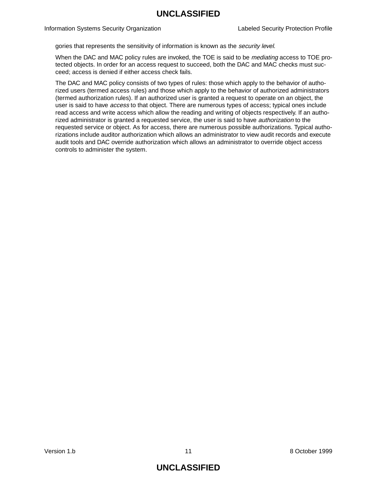gories that represents the sensitivity of information is known as the security level.

When the DAC and MAC policy rules are invoked, the TOE is said to be *mediating* access to TOE protected objects. In order for an access request to succeed, both the DAC and MAC checks must succeed; access is denied if either access check fails.

The DAC and MAC policy consists of two types of rules: those which apply to the behavior of authorized users (termed access rules) and those which apply to the behavior of authorized administrators (termed authorization rules). If an authorized user is granted a request to operate on an object, the user is said to have *access* to that object. There are numerous types of access; typical ones include read access and write access which allow the reading and writing of objects respectively. If an authorized administrator is granted a requested service, the user is said to have *authorization* to the requested service or object. As for access, there are numerous possible authorizations. Typical authorizations include auditor authorization which allows an administrator to view audit records and execute audit tools and DAC override authorization which allows an administrator to override object access controls to administer the system.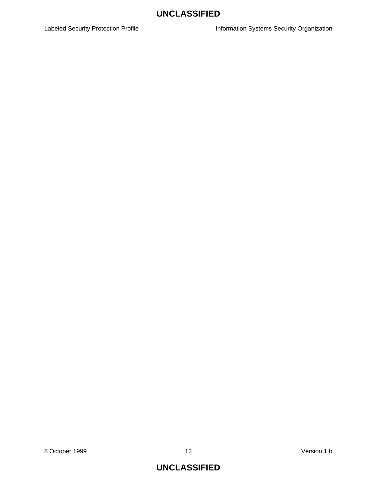Labeled Security Protection Profile **Information Systems Security Organization**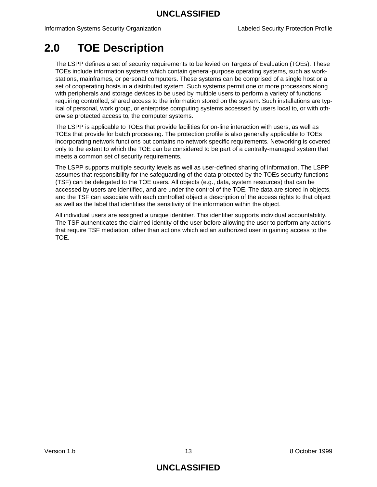## <span id="page-12-0"></span>**2.0 TOE Description**

The LSPP defines a set of security requirements to be levied on Targets of Evaluation (TOEs). These TOEs include information systems which contain general-purpose operating systems, such as workstations, mainframes, or personal computers. These systems can be comprised of a single host or a set of cooperating hosts in a distributed system. Such systems permit one or more processors along with peripherals and storage devices to be used by multiple users to perform a variety of functions requiring controlled, shared access to the information stored on the system. Such installations are typical of personal, work group, or enterprise computing systems accessed by users local to, or with otherwise protected access to, the computer systems.

The LSPP is applicable to TOEs that provide facilities for on-line interaction with users, as well as TOEs that provide for batch processing. The protection profile is also generally applicable to TOEs incorporating network functions but contains no network specific requirements. Networking is covered only to the extent to which the TOE can be considered to be part of a centrally-managed system that meets a common set of security requirements.

The LSPP supports multiple security levels as well as user-defined sharing of information. The LSPP assumes that responsibility for the safeguarding of the data protected by the TOEs security functions (TSF) can be delegated to the TOE users. All objects (e.g., data, system resources) that can be accessed by users are identified, and are under the control of the TOE. The data are stored in objects, and the TSF can associate with each controlled object a description of the access rights to that object as well as the label that identifies the sensitivity of the information within the object.

All individual users are assigned a unique identifier. This identifier supports individual accountability. The TSF authenticates the claimed identity of the user before allowing the user to perform any actions that require TSF mediation, other than actions which aid an authorized user in gaining access to the TOE.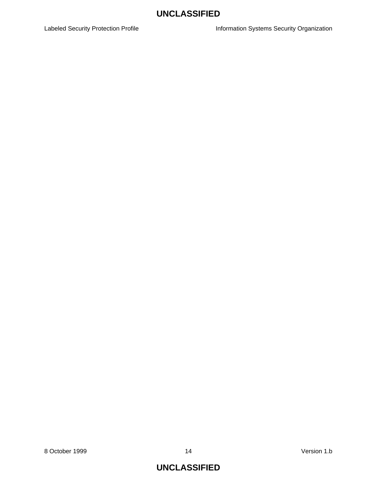Labeled Security Protection Profile **Information Systems Security Organization**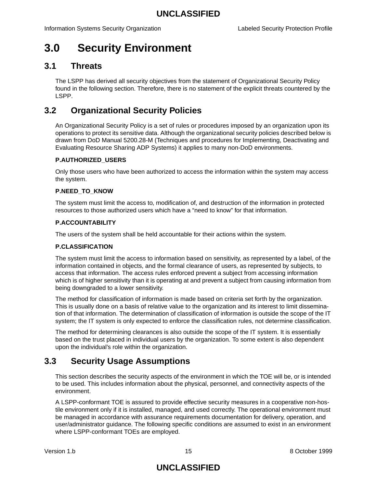## <span id="page-14-0"></span>**3.0 Security Environment**

### **3.1 Threats**

The LSPP has derived all security objectives from the statement of Organizational Security Policy found in the following section. Therefore, there is no statement of the explicit threats countered by the LSPP.

## **3.2 Organizational Security Policies**

An Organizational Security Policy is a set of rules or procedures imposed by an organization upon its operations to protect its sensitive data. Although the organizational security policies described below is drawn from DoD Manual 5200.28-M (Techniques and procedures for Implementing, Deactivating and Evaluating Resource Sharing ADP Systems) it applies to many non-DoD environments.

#### **P.AUTHORIZED\_USERS**

Only those users who have been authorized to access the information within the system may access the system.

#### **P.NEED\_TO\_KNOW**

The system must limit the access to, modification of, and destruction of the information in protected resources to those authorized users which have a "need to know" for that information.

#### **P.ACCOUNTABILITY**

The users of the system shall be held accountable for their actions within the system.

#### **P.CLASSIFICATION**

The system must limit the access to information based on sensitivity, as represented by a label, of the information contained in objects, and the formal clearance of users, as represented by subjects, to access that information. The access rules enforced prevent a subject from accessing information which is of higher sensitivity than it is operating at and prevent a subject from causing information from being downgraded to a lower sensitivity.

The method for classification of information is made based on criteria set forth by the organization. This is usually done on a basis of relative value to the organization and its interest to limit dissemination of that information. The determination of classification of information is outside the scope of the IT system; the IT system is only expected to enforce the classification rules, not determine classification.

The method for determining clearances is also outside the scope of the IT system. It is essentially based on the trust placed in individual users by the organization. To some extent is also dependent upon the individual's role within the organization.

## **3.3 Security Usage Assumptions**

This section describes the security aspects of the environment in which the TOE will be, or is intended to be used. This includes information about the physical, personnel, and connectivity aspects of the environment.

A LSPP-conformant TOE is assured to provide effective security measures in a cooperative non-hostile environment only if it is installed, managed, and used correctly. The operational environment must be managed in accordance with assurance requirements documentation for delivery, operation, and user/administrator guidance. The following specific conditions are assumed to exist in an environment where LSPP-conformant TOEs are employed.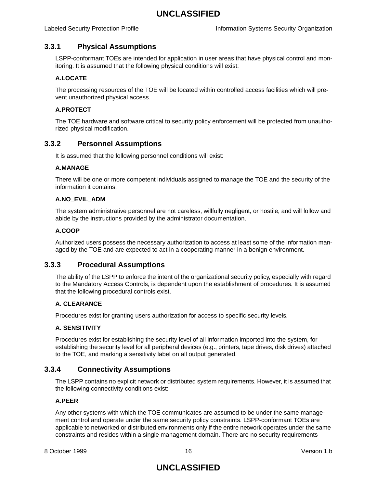#### <span id="page-15-0"></span>**3.3.1 Physical Assumptions**

LSPP-conformant TOEs are intended for application in user areas that have physical control and monitoring. It is assumed that the following physical conditions will exist:

#### **A.LOCATE**

The processing resources of the TOE will be located within controlled access facilities which will prevent unauthorized physical access.

#### **A.PROTECT**

The TOE hardware and software critical to security policy enforcement will be protected from unauthorized physical modification.

#### **3.3.2 Personnel Assumptions**

It is assumed that the following personnel conditions will exist:

#### **A.MANAGE**

There will be one or more competent individuals assigned to manage the TOE and the security of the information it contains.

#### **A.NO\_EVIL\_ADM**

The system administrative personnel are not careless, willfully negligent, or hostile, and will follow and abide by the instructions provided by the administrator documentation.

#### **A.COOP**

Authorized users possess the necessary authorization to access at least some of the information managed by the TOE and are expected to act in a cooperating manner in a benign environment.

#### **3.3.3 Procedural Assumptions**

The ability of the LSPP to enforce the intent of the organizational security policy, especially with regard to the Mandatory Access Controls, is dependent upon the establishment of procedures. It is assumed that the following procedural controls exist.

#### **A. CLEARANCE**

Procedures exist for granting users authorization for access to specific security levels.

#### **A. SENSITIVITY**

Procedures exist for establishing the security level of all information imported into the system, for establishing the security level for all peripheral devices (e.g., printers, tape drives, disk drives) attached to the TOE, and marking a sensitivity label on all output generated.

#### **3.3.4 Connectivity Assumptions**

The LSPP contains no explicit network or distributed system requirements. However, it is assumed that the following connectivity conditions exist:

#### **A.PEER**

Any other systems with which the TOE communicates are assumed to be under the same management control and operate under the same security policy constraints. LSPP-conformant TOEs are applicable to networked or distributed environments only if the entire network operates under the same constraints and resides within a single management domain. There are no security requirements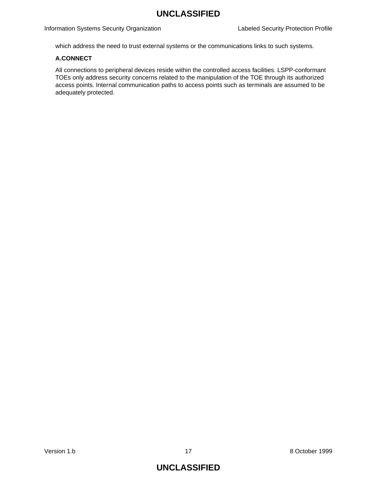<span id="page-16-0"></span>Information Systems Security Organization Labeled Security Protection Profile

which address the need to trust external systems or the communications links to such systems.

#### **A.CONNECT**

All connections to peripheral devices reside within the controlled access facilities. LSPP-conformant TOEs only address security concerns related to the manipulation of the TOE through its authorized access points. Internal communication paths to access points such as terminals are assumed to be adequately protected.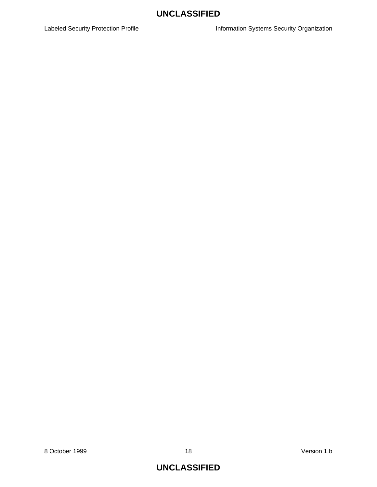Labeled Security Protection Profile **Information Systems Security Organization**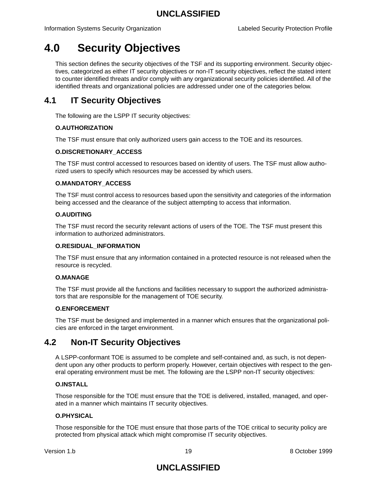## <span id="page-18-0"></span>**4.0 Security Objectives**

This section defines the security objectives of the TSF and its supporting environment. Security objectives, categorized as either IT security objectives or non-IT security objectives, reflect the stated intent to counter identified threats and/or comply with any organizational security policies identified. All of the identified threats and organizational policies are addressed under one of the categories below.

### **4.1 IT Security Objectives**

The following are the LSPP IT security objectives:

#### **O.AUTHORIZATION**

The TSF must ensure that only authorized users gain access to the TOE and its resources.

#### **O.DISCRETIONARY\_ACCESS**

The TSF must control accessed to resources based on identity of users. The TSF must allow authorized users to specify which resources may be accessed by which users.

#### **O.MANDATORY\_ACCESS**

The TSF must control access to resources based upon the sensitivity and categories of the information being accessed and the clearance of the subject attempting to access that information.

#### **O.AUDITING**

The TSF must record the security relevant actions of users of the TOE. The TSF must present this information to authorized administrators.

#### **O.RESIDUAL\_INFORMATION**

The TSF must ensure that any information contained in a protected resource is not released when the resource is recycled.

#### **O.MANAGE**

The TSF must provide all the functions and facilities necessary to support the authorized administrators that are responsible for the management of TOE security.

#### **O.ENFORCEMENT**

The TSF must be designed and implemented in a manner which ensures that the organizational policies are enforced in the target environment.

### **4.2 Non-IT Security Objectives**

A LSPP-conformant TOE is assumed to be complete and self-contained and, as such, is not dependent upon any other products to perform properly. However, certain objectives with respect to the general operating environment must be met. The following are the LSPP non-IT security objectives:

#### **O.INSTALL**

Those responsible for the TOE must ensure that the TOE is delivered, installed, managed, and operated in a manner which maintains IT security objectives.

#### **O.PHYSICAL**

Those responsible for the TOE must ensure that those parts of the TOE critical to security policy are protected from physical attack which might compromise IT security objectives.

Version 1.b 19 and 1.9 and 1.9 and 1.9 and 1.9 and 1.9 and 1.9 and 1.9 and 1.9 and 1.9 and 1.9 and 1.9 and 1.9 and 1.9 and 1.9 and 1.9 and 1.9 and 1.9 and 1.9 and 1.9 and 1.9 and 1.9 and 1.9 and 1.9 and 1.9 and 1.9 and 1.9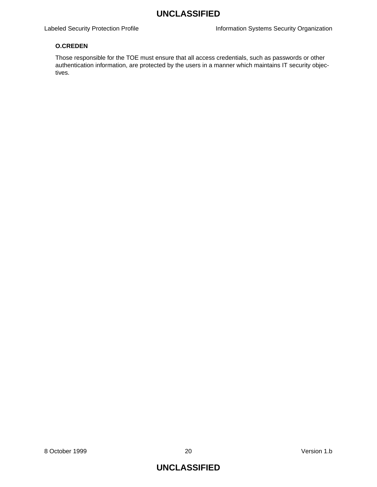<span id="page-19-0"></span>

#### **O.CREDEN**

Those responsible for the TOE must ensure that all access credentials, such as passwords or other authentication information, are protected by the users in a manner which maintains IT security objectives.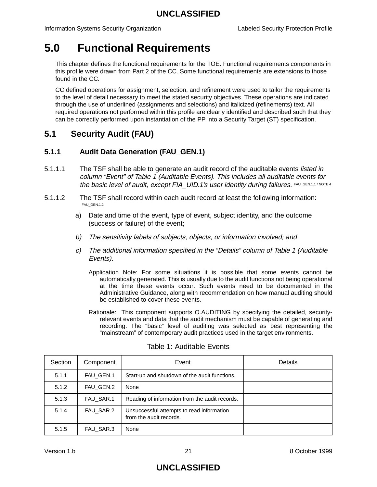## <span id="page-20-0"></span>**5.0 Functional Requirements**

This chapter defines the functional requirements for the TOE. Functional requirements components in this profile were drawn from Part 2 of the CC. Some functional requirements are extensions to those found in the CC.

CC defined operations for assignment, selection, and refinement were used to tailor the requirements to the level of detail necessary to meet the stated security objectives. These operations are indicated through the use of underlined (assignments and selections) and italicized (refinements) text. All required operations not performed within this profile are clearly identified and described such that they can be correctly performed upon instantiation of the PP into a Security Target (ST) specification.

## **5.1 Security Audit (FAU)**

#### **5.1.1 Audit Data Generation (FAU\_GEN.1)**

- 5.1.1.1 The TSF shall be able to generate an audit record of the auditable events listed in column "Event" of Table 1 (Auditable Events). This includes all auditable events for the basic level of audit, except FIA\_UID.1's user identity during failures. FAU\_GEN.1.[1 / NOT](#page-60-0)E 4
- 5.1.1.2 The TSF shall record within each audit record at least the following information: FAU\_GEN.1.2
	- a) Date and time of the event, type of event, subject identity, and the outcome (success or failure) of the event;
	- b) The sensitivity labels of subjects, objects, or information involved; and
	- c) The additional information specified in the "Details" column of Table 1 (Auditable Events).

Application Note: For some situations it is possible that some events cannot be automatically generated. This is usually due to the audit functions not being operational at the time these events occur. Such events need to be documented in the Administrative Guidance, along with recommendation on how manual auditing should be established to cover these events.

Rationale: This component supports [O.AUDITING](#page-18-0) by specifying the detailed, securityrelevant events and data that the audit mechanism must be capable of generating and recording. The "basic" level of auditing was selected as best representing the "mainstream" of contemporary audit practices used in the target environments.

| Section                                                                                    | Component | Event                                          | Details |
|--------------------------------------------------------------------------------------------|-----------|------------------------------------------------|---------|
| 5.1.1                                                                                      | FAU GEN.1 | Start-up and shutdown of the audit functions.  |         |
| 5.1.2                                                                                      | FAU GEN.2 | None                                           |         |
| 5.1.3                                                                                      | FAU SAR.1 | Reading of information from the audit records. |         |
| FAU_SAR.2<br>5.1.4<br>Unsuccessful attempts to read information<br>from the audit records. |           |                                                |         |
| 5.1.5                                                                                      | FAU_SAR.3 | None                                           |         |

#### Table 1: Auditable Events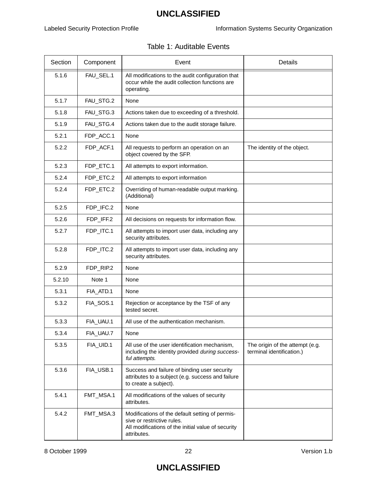#### Labeled Security Protection Profile **Information Systems Security Organization**

#### Table 1: Auditable Events

| Section | Component | Event                                                                                                                                              | Details                                                      |
|---------|-----------|----------------------------------------------------------------------------------------------------------------------------------------------------|--------------------------------------------------------------|
| 5.1.6   | FAU_SEL.1 | All modifications to the audit configuration that<br>occur while the audit collection functions are<br>operating.                                  |                                                              |
| 5.1.7   | FAU_STG.2 | None                                                                                                                                               |                                                              |
| 5.1.8   | FAU_STG.3 | Actions taken due to exceeding of a threshold.                                                                                                     |                                                              |
| 5.1.9   | FAU_STG.4 | Actions taken due to the audit storage failure.                                                                                                    |                                                              |
| 5.2.1   | FDP_ACC.1 | None                                                                                                                                               |                                                              |
| 5.2.2   | FDP_ACF.1 | All requests to perform an operation on an<br>object covered by the SFP.                                                                           | The identity of the object.                                  |
| 5.2.3   | FDP_ETC.1 | All attempts to export information.                                                                                                                |                                                              |
| 5.2.4   | FDP_ETC.2 | All attempts to export information                                                                                                                 |                                                              |
| 5.2.4   | FDP_ETC.2 | Overriding of human-readable output marking.<br>(Additional)                                                                                       |                                                              |
| 5.2.5   | FDP_IFC.2 | None                                                                                                                                               |                                                              |
| 5.2.6   | FDP_IFF.2 | All decisions on requests for information flow.                                                                                                    |                                                              |
| 5.2.7   | FDP_ITC.1 | All attempts to import user data, including any<br>security attributes.                                                                            |                                                              |
| 5.2.8   | FDP_ITC.2 | All attempts to import user data, including any<br>security attributes.                                                                            |                                                              |
| 5.2.9   | FDP_RIP.2 | None                                                                                                                                               |                                                              |
| 5.2.10  | Note 1    | None                                                                                                                                               |                                                              |
| 5.3.1   | FIA_ATD.1 | None                                                                                                                                               |                                                              |
| 5.3.2   | FIA_SOS.1 | Rejection or acceptance by the TSF of any<br>tested secret.                                                                                        |                                                              |
| 5.3.3   | FIA_UAU.1 | All use of the authentication mechanism.                                                                                                           |                                                              |
| 5.3.4   | FIA_UAU.7 | None                                                                                                                                               |                                                              |
| 5.3.5   | FIA_UID.1 | All use of the user identification mechanism,<br>including the identity provided during success-<br>ful attempts.                                  | The origin of the attempt (e.g.<br>terminal identification.) |
| 5.3.6   | FIA_USB.1 | Success and failure of binding user security<br>attributes to a subject (e.g. success and failure<br>to create a subject).                         |                                                              |
| 5.4.1   | FMT_MSA.1 | All modifications of the values of security<br>attributes.                                                                                         |                                                              |
| 5.4.2   | FMT_MSA.3 | Modifications of the default setting of permis-<br>sive or restrictive rules.<br>All modifications of the initial value of security<br>attributes. |                                                              |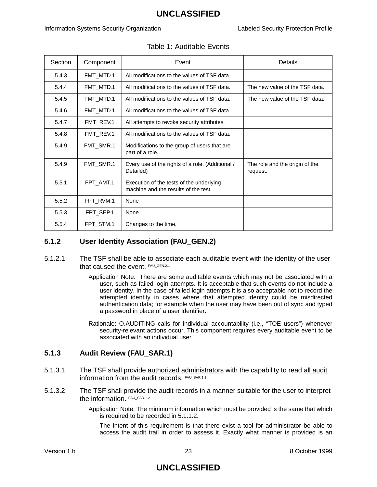<span id="page-22-0"></span>Information Systems Security Organization Labeled Security Protection Profile

| Section | Component | Event                                                                            | Details                                    |
|---------|-----------|----------------------------------------------------------------------------------|--------------------------------------------|
| 5.4.3   | FMT MTD.1 | All modifications to the values of TSF data.                                     |                                            |
| 5.4.4   | FMT_MTD.1 | All modifications to the values of TSF data.                                     | The new value of the TSF data.             |
| 5.4.5   | FMT_MTD.1 | All modifications to the values of TSF data.                                     | The new value of the TSF data.             |
| 5.4.6   | FMT_MTD.1 | All modifications to the values of TSF data.                                     |                                            |
| 5.4.7   | FMT REV.1 | All attempts to revoke security attributes.                                      |                                            |
| 5.4.8   | FMT_REV.1 | All modifications to the values of TSF data.                                     |                                            |
| 5.4.9   | FMT SMR.1 | Modifications to the group of users that are<br>part of a role.                  |                                            |
| 5.4.9   | FMT_SMR.1 | Every use of the rights of a role. (Additional /<br>Detailed)                    | The role and the origin of the<br>request. |
| 5.5.1   | FPT_AMT.1 | Execution of the tests of the underlying<br>machine and the results of the test. |                                            |
| 5.5.2   | FPT RVM.1 | None                                                                             |                                            |
| 5.5.3   | FPT_SEP.1 | None                                                                             |                                            |
| 5.5.4   | FPT_STM.1 | Changes to the time.                                                             |                                            |

#### Table 1: Auditable Events

#### **5.1.2 User Identity Association (FAU\_GEN.2)**

5.1.2.1 The TSF shall be able to associate each auditable event with the identity of the user that caused the event. FAU\_GEN.2.1

> Application Note: There are some auditable events which may not be associated with a user, such as failed login attempts. It is acceptable that such events do not include a user identity. In the case of failed login attempts it is also acceptable not to record the attempted identity in cases where that attempted identity could be misdirected authentication data; for example when the user may have been out of sync and typed a password in place of a user identifier.

> Rationale: [O.AUDITING](#page-18-0) calls for individual accountability (i.e., "TOE users") whenever security-relevant actions occur. This component requires every auditable event to be associated with an individual user.

#### **5.1.3 Audit Review (FAU\_SAR.1)**

- 5.1.3.1 The TSF shall provide authorized administrators with the capability to read all audit information from the audit records: FAU\_SAR.1.1
- 5.1.3.2 The TSF shall provide the audit records in a manner suitable for the user to interpret the information. FAU\_SAR.1.2

Application Note: The minimum information which must be provided is the same that which is required to be recorded in [5.1.1.2.](#page-20-0)

The intent of this requirement is that there exist a tool for administrator be able to access the audit trail in order to assess it. Exactly what manner is provided is an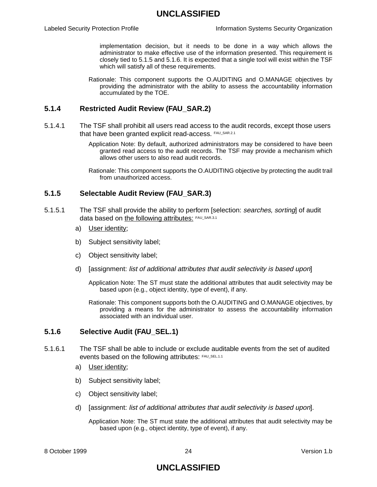<span id="page-23-0"></span>

implementation decision, but it needs to be done in a way which allows the administrator to make effective use of the information presented. This requirement is closely tied to 5.1.5 and 5.1.6. It is expected that a single tool will exist within the TSF which will satisfy all of these requirements.

Rationale: This component supports the [O.AUDITING](#page-18-0) and [O.MANAGE](#page-18-0) objectives by providing the administrator with the ability to assess the accountability information accumulated by the TOE.

#### **5.1.4 Restricted Audit Review (FAU\_SAR.2)**

- 5.1.4.1 The TSF shall prohibit all users read access to the audit records, except those users that have been granted explicit read-access. FAU\_SAR.2.1
	- Application Note: By default, authorized administrators may be considered to have been granted read access to the audit records. The TSF may provide a mechanism which allows other users to also read audit records.

Rationale: This component supports the [O.AUDITING](#page-18-0) objective by protecting the audit trail from unauthorized access.

#### **5.1.5 Selectable Audit Review (FAU\_SAR.3)**

- 5.1.5.1 The TSF shall provide the ability to perform [selection: searches, sorting] of audit data based on the following attributes: FAU\_SAR.3.1
	- a) User identity;
	- b) Subject sensitivity label;
	- c) Object sensitivity label;
	- d) [assignment: list of additional attributes that audit selectivity is based upon]

Application Note: The ST must state the additional attributes that audit selectivity may be based upon (e.g., object identity, type of event), if any.

Rationale: This component supports both the [O.AUDITING](#page-18-0) and [O.MANAGE](#page-18-0) objectives, by providing a means for the administrator to assess the accountability information associated with an individual user.

#### **5.1.6 Selective Audit (FAU\_SEL.1)**

- 5.1.6.1 The TSF shall be able to include or exclude auditable events from the set of audited events based on the following attributes: FAU\_SEL.1.1
	- a) User identity;
	- b) Subject sensitivity label;
	- c) Object sensitivity label;
	- d) [assignment: list of additional attributes that audit selectivity is based upon].

Application Note: The ST must state the additional attributes that audit selectivity may be based upon (e.g., object identity, type of event), if any.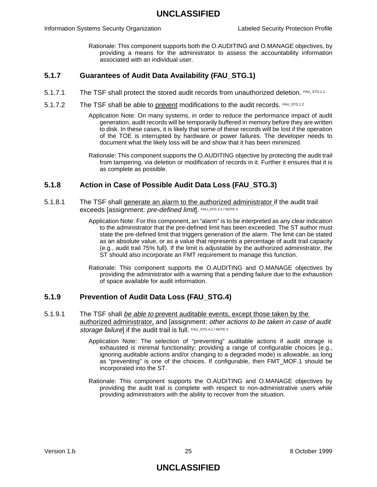Rationale: This component supports both the [O.AUDITING](#page-18-0) and [O.MANAGE](#page-18-0) objectives, by providing a means for the administrator to assess the accountability information associated with an individual user.

#### <span id="page-24-0"></span>**5.1.7 Guarantees of Audit Data Availability (FAU\_STG.1)**

- 5.1.7.1 The TSF shall protect the stored audit records from unauthorized deletion. FAU\_STG.1.1
- 5.1.7.2 The TSF shall be able to prevent modifications to the audit records. FAU\_STG.1.2

Application Note: On many systems, in order to reduce the performance impact of audit generation, audit records will be temporarily buffered in memory before they are written to disk. In these cases, it is likely that some of these records will be lost if the operation of the TOE is interrupted by hardware or power failures. The developer needs to document what the likely loss will be and show that it has been minimized.

Rationale: This component supports the [O.AUDITING](#page-18-0) objective by protecting the audit trail from tampering, via deletion or modification of records in it. Further it ensures that it is as complete as possible.

#### **5.1.8 Action in Case of Possible Audit Data Loss (FAU\_STG.3)**

- 5.1.8.1 The TSF shall generate an alarm to the authorized administrator if the audit trail exceeds [assignment: pre-defined limit]. FAU\_STG.3.[1 / NOT](#page-60-0)E 3
	- Application Note: For this component, an "alarm" is to be interpreted as any clear indication to the administrator that the pre-defined limit has been exceeded. The ST author must state the pre-defined limit that triggers generation of the alarm. The limit can be stated as an absolute value, or as a value that represents a percentage of audit trail capacity (e.g., audit trail 75% full). If the limit is adjustable by the authorized administrator, the ST should also incorporate an FMT requirement to manage this function.
	- Rationale: This component supports the [O.AUDITING](#page-18-0) and [O.MANAGE](#page-18-0) objectives by providing the administrator with a warning that a pending failure due to the exhaustion of space available for audit information.

#### **5.1.9 Prevention of Audit Data Loss (FAU\_STG.4)**

- 5.1.9.1 The TSF shall be able to prevent auditable events, except those taken by the authorized administrator, and [assignment: other actions to be taken in case of audit storage failure] if the audit trail is full. FAU\_STG.4.[1 / NOT](#page-60-0)E 5
	- Application Note: The selection of "preventing" auditable actions if audit storage is exhausted is minimal functionality; providing a range of configurable choices (e.g., ignoring auditable actions and/or changing to a degraded mode) is allowable, as long as "preventing" is one of the choices. If configurable, then FMT\_MOF.1 should be incorporated into the ST.
	- Rationale: This component supports the [O.AUDITING](#page-18-0) and [O.MANAGE](#page-18-0) objectives by providing the audit trail is complete with respect to non-administrative users while providing administrators with the ability to recover from the situation.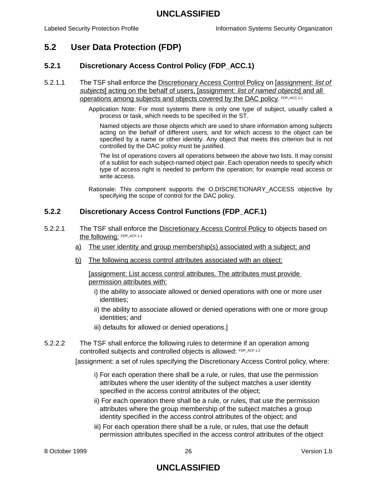## <span id="page-25-0"></span>**5.2 User Data Protection (FDP)**

#### **5.2.1 Discretionary Access Control Policy (FDP\_ACC.1)**

5.2.1.1 The TSF shall enforce the Discretionary Access Control Policy on [assignment: list of subjects] acting on the behalf of users, [assignment: list of named objects] and all operations among subjects and objects covered by the DAC policy. FDP\_ACC.1.1

> Application Note: For most systems there is only one type of subject, usually called a process or task, which needs to be specified in the ST.

Named objects are those objects which are used to share information among subjects acting on the behalf of different users, and for which access to the object can be specified by a name or other identity. Any object that meets this criterion but is not controlled by the DAC policy must be justified.

The list of operations covers all operations between the above two lists. It may consist of a sublist for each subject-named object pair. Each operation needs to specify which type of access right is needed to perform the operation; for example read access or write access.

Rationale: This component supports the [O.DISCRETIONARY\\_ACCESS](#page-18-0) objective by specifying the scope of control for the DAC policy.

#### **5.2.2 Discretionary Access Control Functions (FDP\_ACF.1)**

- 5.2.2.1 The TSF shall enforce the Discretionary Access Control Policy to objects based on the following: FDP\_ACF.1.1
	- a) The user identity and group membership(s) associated with a subject; and
	- b) The following access control attributes associated with an object:

[assignment: List access control attributes. The attributes must provide permission attributes with:

- i) the ability to associate allowed or denied operations with one or more user identities;
- ii) the ability to associate allowed or denied operations with one or more group identities; and
- iii) defaults for allowed or denied operations.]
- 5.2.2.2 The TSF shall enforce the following rules to determine if an operation among controlled subjects and controlled objects is allowed: FDP\_ACF.1.2

[assignment: a set of rules specifying the Discretionary Access Control policy, where:

- i) For each operation there shall be a rule, or rules, that use the permission attributes where the user identity of the subject matches a user identity specified in the access control attributes of the object;
- ii) For each operation there shall be a rule, or rules, that use the permission attributes where the group membership of the subject matches a group identity specified in the access control attributes of the object; and
- iii) For each operation there shall be a rule, or rules, that use the default permission attributes specified in the access control attributes of the object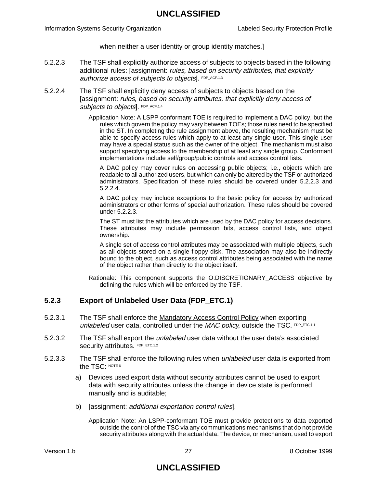when neither a user identity or group identity matches.]

- <span id="page-26-0"></span>5.2.2.3 The TSF shall explicitly authorize access of subjects to objects based in the following additional rules: [assignment: rules, based on security attributes, that explicitly authorize access of subjects to objects]. FDP\_ACF.1.3
- 5.2.2.4 The TSF shall explicitly deny access of subjects to objects based on the [assignment: rules, based on security attributes, that explicitly deny access of subjects to objects]. FDP\_ACF.1.4

Application Note: A LSPP conformant TOE is required to implement a DAC policy, but the rules which govern the policy may vary between TOEs; those rules need to be specified in the ST. In completing the rule assignment above, the resulting mechanism must be able to specify access rules which apply to at least any single user. This single user may have a special status such as the owner of the object. The mechanism must also support specifying access to the membership of at least any single group. Conformant implementations include self/group/public controls and access control lists.

A DAC policy may cover rules on accessing public objects; i.e., objects which are readable to all authorized users, but which can only be altered by the TSF or authorized administrators. Specification of these rules should be covered under 5.2.2.3 and 5.2.2.4.

A DAC policy may include exceptions to the basic policy for access by authorized administrators or other forms of special authorization. These rules should be covered under 5.2.2.3.

The ST must list the attributes which are used by the DAC policy for access decisions. These attributes may include permission bits, access control lists, and object ownership.

A single set of access control attributes may be associated with multiple objects, such as all objects stored on a single floppy disk. The association may also be indirectly bound to the object, such as access control attributes being associated with the name of the object rather than directly to the object itself.

Rationale: This component supports the [O.DISCRETIONARY\\_ACCESS](#page-18-0) objective by defining the rules which will be enforced by the TSF.

#### **5.2.3 Export of Unlabeled User Data (FDP\_ETC.1)**

- 5.2.3.1 The TSF shall enforce the Mandatory Access Control Policy when exporting unlabeled user data, controlled under the MAC policy, outside the TSC.  $FDP\_ETC.1.1$
- 5.2.3.2 The TSF shall export the *unlabeled* user data without the user data's associated security attributes. FDP\_ETC.1.2
- 5.2.3.3 The TSF shall enforce the following rules when *unlabeled* user data is exported from the TSC: [NOTE](#page-60-0) 6
	- a) Devices used export data without security attributes cannot be used to export data with security attributes unless the change in device state is performed manually and is auditable;
	- b) [assignment: additional exportation control rules].

Application Note: An LSPP-conformant TOE must provide protections to data exported outside the control of the TSC via any communications mechanisms that do not provide security attributes along with the actual data. The device, or mechanism, used to export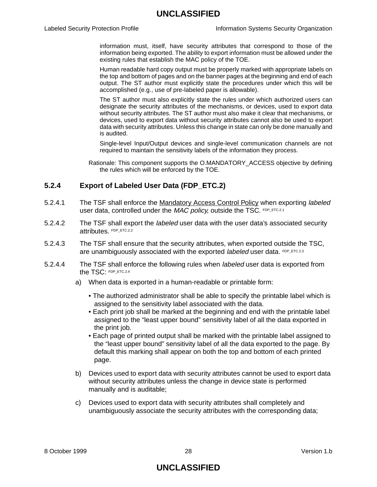<span id="page-27-0"></span>information must, itself, have security attributes that correspond to those of the information being exported. The ability to export information must be allowed under the existing rules that establish the MAC policy of the TOE.

Human readable hard copy output must be properly marked with appropriate labels on the top and bottom of pages and on the banner pages at the beginning and end of each output. The ST author must explicitly state the procedures under which this will be accomplished (e.g., use of pre-labeled paper is allowable).

The ST author must also explicitly state the rules under which authorized users can designate the security attributes of the mechanisms, or devices, used to export data without security attributes. The ST author must also make it clear that mechanisms, or devices, used to export data without security attributes cannot also be used to export data with security attributes. Unless this change in state can only be done manually and is audited.

Single-level Input/Output devices and single-level communication channels are not required to maintain the sensitivity labels of the information they process.

Rationale: This component supports the O.MANDATORY\_ACCESS objective by defining the rules which will be enforced by the TOE.

#### **5.2.4 Export of Labeled User Data (FDP\_ETC.2)**

- 5.2.4.1 The TSF shall enforce the Mandatory Access Control Policy when exporting labeled user data, controlled under the MAC policy, outside the TSC. FDP\_ETC.2.1
- 5.2.4.2 The TSF shall export the *labeled* user data with the user data's associated security attributes. FDP\_ETC.2.2
- 5.2.4.3 The TSF shall ensure that the security attributes, when exported outside the TSC, are unambiguously associated with the exported labeled user data. FDP\_ETC.2.3
- 5.2.4.4 The TSF shall enforce the following rules when *labeled* user data is exported from the TSC: FDP\_ETC.2.4
	- a) When data is exported in a human-readable or printable form:
		- The authorized administrator shall be able to specify the printable label which is assigned to the sensitivity label associated with the data.
		- Each print job shall be marked at the beginning and end with the printable label assigned to the "least upper bound" sensitivity label of all the data exported in the print job.
		- Each page of printed output shall be marked with the printable label assigned to the "least upper bound" sensitivity label of all the data exported to the page. By default this marking shall appear on both the top and bottom of each printed page.
	- b) Devices used to export data with security attributes cannot be used to export data without security attributes unless the change in device state is performed manually and is auditable;
	- c) Devices used to export data with security attributes shall completely and unambiguously associate the security attributes with the corresponding data;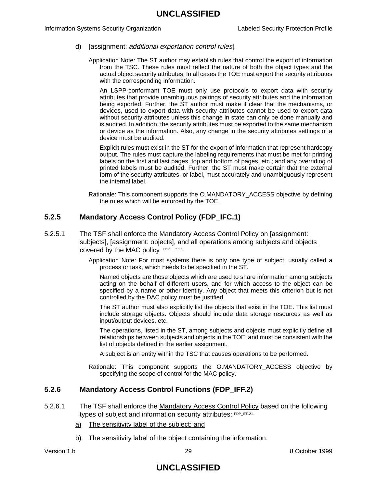- <span id="page-28-0"></span>d) [assignment: additional exportation control rules].
	- Application Note: The ST author may establish rules that control the export of information from the TSC. These rules must reflect the nature of both the object types and the actual object security attributes. In all cases the TOE must export the security attributes with the corresponding information.

An LSPP-conformant TOE must only use protocols to export data with security attributes that provide unambiguous pairings of security attributes and the information being exported. Further, the ST author must make it clear that the mechanisms, or devices, used to export data with security attributes cannot be used to export data without security attributes unless this change in state can only be done manually and is audited. In addition, the security attributes must be exported to the same mechanism or device as the information. Also, any change in the security attributes settings of a device must be audited.

Explicit rules must exist in the ST for the export of information that represent hardcopy output. The rules must capture the labeling requirements that must be met for printing labels on the first and last pages, top and bottom of pages, etc.; and any overriding of printed labels must be audited. Further, the ST must make certain that the external form of the security attributes, or label, must accurately and unambiguously represent the internal label.

Rationale: This component supports the O.MANDATORY\_ACCESS objective by defining the rules which will be enforced by the TOE.

#### **5.2.5 Mandatory Access Control Policy (FDP\_IFC.1)**

- 5.2.5.1 The TSF shall enforce the Mandatory Access Control Policy on [assignment: subjects], [assignment: objects], and all operations among subjects and objects covered by the MAC policy. FDP\_IFC.1.1
	- Application Note: For most systems there is only one type of subject, usually called a process or task, which needs to be specified in the ST.

Named objects are those objects which are used to share information among subjects acting on the behalf of different users, and for which access to the object can be specified by a name or other identity. Any object that meets this criterion but is not controlled by the DAC policy must be justified.

The ST author must also explicitly list the objects that exist in the TOE. This list must include storage objects. Objects should include data storage resources as well as input/output devices, etc.

The operations, listed in the ST, among subjects and objects must explicitly define all relationships between subjects and objects in the TOE, and must be consistent with the list of objects defined in the earlier assignment.

A subject is an entity within the TSC that causes operations to be performed.

Rationale: This component supports the O.MANDATORY ACCESS objective by specifying the scope of control for the MAC policy.

#### **5.2.6 Mandatory Access Control Functions (FDP\_IFF.2)**

- 5.2.6.1 The TSF shall enforce the Mandatory Access Control Policy based on the following types of subject and information security attributes: FDP\_IFF.2.1
	- a) The sensitivity label of the subject; and
	- b) The sensitivity label of the object containing the information.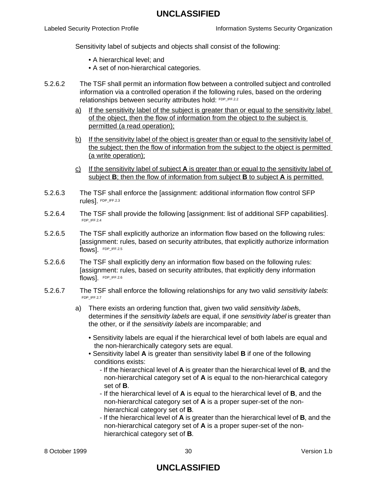Sensitivity label of subjects and objects shall consist of the following:

- A hierarchical level; and
- A set of non-hierarchical categories.
- 5.2.6.2 The TSF shall permit an information flow between a controlled subject and controlled information via a controlled operation if the following rules, based on the ordering relationships between security attributes hold: FDP\_IFF.2.2
	- a) If the sensitivity label of the subject is greater than or equal to the sensitivity label of the object, then the flow of information from the object to the subject is permitted (a read operation);
	- b) If the sensitivity label of the object is greater than or equal to the sensitivity label of the subject; then the flow of information from the subject to the object is permitted (a write operation);
	- c) If the sensitivity label of subject **A** is greater than or equal to the sensitivity label of subject **B**; then the flow of information from subject **B** to subject **A** is permitted.
- 5.2.6.3 The TSF shall enforce the [assignment: additional information flow control SFP rules]. FDP\_IFF.2.3
- 5.2.6.4 The TSF shall provide the following [assignment: list of additional SFP capabilities]. FDP\_IFF.2.4
- 5.2.6.5 The TSF shall explicitly authorize an information flow based on the following rules: [assignment: rules, based on security attributes, that explicitly authorize information flows1. FDP\_IFF.2.5
- 5.2.6.6 The TSF shall explicitly deny an information flow based on the following rules: [assignment: rules, based on security attributes, that explicitly deny information flows]. FDP\_IFF.2.6
- 5.2.6.7 The TSF shall enforce the following relationships for any two valid sensitivity labels: FDP\_IFF.2.7
	- a) There exists an ordering function that, given two valid sensitivity labels, determines if the *sensitivity labels* are equal, if one *sensitivity label* is greater than the other, or if the sensitivity labels are incomparable; and
		- Sensitivity labels are equal if the hierarchical level of both labels are equal and the non-hierarchically category sets are equal.
		- Sensitivity label **A** is greater than sensitivity label **B** if one of the following conditions exists:
			- If the hierarchical level of **A** is greater than the hierarchical level of **B**, and the non-hierarchical category set of **A** is equal to the non-hierarchical category set of **B**.
			- If the hierarchical level of **A** is equal to the hierarchical level of **B**, and the non-hierarchical category set of **A** is a proper super-set of the nonhierarchical category set of **B**.
			- If the hierarchical level of **A** is greater than the hierarchical level of **B**, and the non-hierarchical category set of **A** is a proper super-set of the nonhierarchical category set of **B**.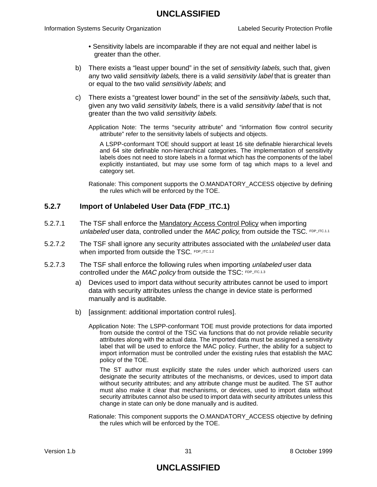- <span id="page-30-0"></span>• Sensitivity labels are incomparable if they are not equal and neither label is greater than the other.
- b) There exists a "least upper bound" in the set of *sensitivity labels*, such that, given any two valid sensitivity labels, there is a valid sensitivity label that is greater than or equal to the two valid sensitivity labels; and
- c) There exists a "greatest lower bound" in the set of the *sensitivity labels*, such that, given any two valid sensitivity labels, there is a valid sensitivity label that is not greater than the two valid sensitivity labels.
	- Application Note: The terms "security attribute" and "information flow control security attribute" refer to the sensitivity labels of subjects and objects.

A LSPP-conformant TOE should support at least 16 site definable hierarchical levels and 64 site definable non-hierarchical categories. The implementation of sensitivity labels does not need to store labels in a format which has the components of the label explicitly instantiated, but may use some form of tag which maps to a level and category set.

Rationale: This component supports the O.MANDATORY\_ACCESS objective by defining the rules which will be enforced by the TOE.

#### **5.2.7 Import of Unlabeled User Data (FDP\_ITC.1)**

- 5.2.7.1 The TSF shall enforce the Mandatory Access Control Policy when importing unlabeled user data, controlled under the MAC policy, from outside the TSC. FDP\_ITC.1.1
- 5.2.7.2 The TSF shall ignore any security attributes associated with the *unlabeled* user data when imported from outside the TSC. FDP\_ITC.1.2
- 5.2.7.3 The TSF shall enforce the following rules when importing unlabeled user data controlled under the MAC policy from outside the TSC: FDP\_ITC.1.3
	- a) Devices used to import data without security attributes cannot be used to import data with security attributes unless the change in device state is performed manually and is auditable.
	- b) [assignment: additional importation control rules].

Application Note: The LSPP-conformant TOE must provide protections for data imported from outside the control of the TSC via functions that do not provide reliable security attributes along with the actual data. The imported data must be assigned a sensitivity label that will be used to enforce the MAC policy. Further, the ability for a subject to import information must be controlled under the existing rules that establish the MAC policy of the TOE.

The ST author must explicitly state the rules under which authorized users can designate the security attributes of the mechanisms, or devices, used to import data without security attributes; and any attribute change must be audited. The ST author must also make it clear that mechanisms, or devices, used to import data without security attributes cannot also be used to import data with security attributes unless this change in state can only be done manually and is audited.

Rationale: This component supports the O.MANDATORY\_ACCESS objective by defining the rules which will be enforced by the TOE.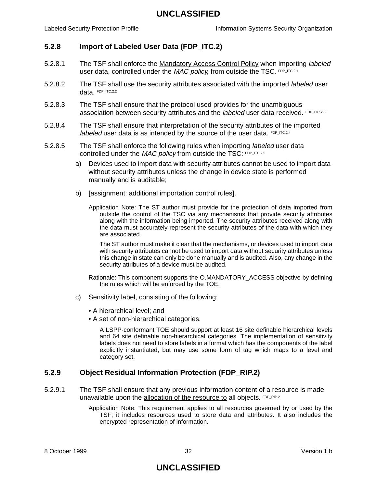#### <span id="page-31-0"></span>**5.2.8 Import of Labeled User Data (FDP\_ITC.2)**

- 5.2.8.1 The TSF shall enforce the Mandatory Access Control Policy when importing labeled user data, controlled under the MAC policy, from outside the TSC. FDP\_ITC.2.1
- 5.2.8.2 The TSF shall use the security attributes associated with the imported labeled user data. FDP\_ITC.2.2
- 5.2.8.3 The TSF shall ensure that the protocol used provides for the unambiguous association between security attributes and the *labeled* user data received. FDP\_ITC.2.3
- 5.2.8.4 The TSF shall ensure that interpretation of the security attributes of the imported *labeled* user data is as intended by the source of the user data.  $FDP\_ITC.2.4$
- 5.2.8.5 The TSF shall enforce the following rules when importing labeled user data controlled under the MAC policy from outside the TSC: FDP\_ITC.2.5
	- a) Devices used to import data with security attributes cannot be used to import data without security attributes unless the change in device state is performed manually and is auditable;
	- b) [assignment: additional importation control rules].
		- Application Note: The ST author must provide for the protection of data imported from outside the control of the TSC via any mechanisms that provide security attributes along with the information being imported. The security attributes received along with the data must accurately represent the security attributes of the data with which they are associated.

The ST author must make it clear that the mechanisms, or devices used to import data with security attributes cannot be used to import data without security attributes unless this change in state can only be done manually and is audited. Also, any change in the security attributes of a device must be audited.

Rationale: This component supports the O.MANDATORY\_ACCESS objective by defining the rules which will be enforced by the TOE.

- c) Sensitivity label, consisting of the following:
	- A hierarchical level; and
	- A set of non-hierarchical categories.

A LSPP-conformant TOE should support at least 16 site definable hierarchical levels and 64 site definable non-hierarchical categories. The implementation of sensitivity labels does not need to store labels in a format which has the components of the label explicitly instantiated, but may use some form of tag which maps to a level and category set.

#### **5.2.9 Object Residual Information Protection (FDP\_RIP.2)**

5.2.9.1 The TSF shall ensure that any previous information content of a resource is made unavailable upon the allocation of the resource to all objects. FDP\_RIP.2

> Application Note: This requirement applies to all resources governed by or used by the TSF; it includes resources used to store data and attributes. It also includes the encrypted representation of information.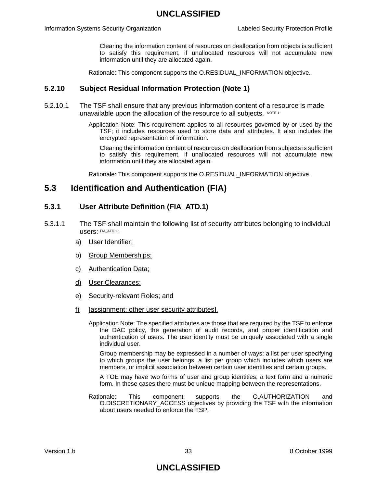Clearing the information content of resources on deallocation from objects is sufficient to satisfy this requirement, if unallocated resources will not accumulate new information until they are allocated again.

Rationale: This component supports the [O.RESIDUAL\\_INFORMATION ob](#page-18-0)jective.

#### <span id="page-32-0"></span>**5.2.10 Subject Residual Information Protection ([Note 1\)](#page-60-0)**

- 5.2.10.1 The TSF shall ensure that any previous information content of a resource is made unavailable upon the allocation of the resource to all subjects.  $NQTE 1$ 
	- Application Note: This requirement applies to all resources governed by or used by the TSF; it includes resources used to store data and attributes. It also includes the encrypted representation of information.

Clearing the information content of resources on deallocation from subjects is sufficient to satisfy this requirement, if unallocated resources will not accumulate new information until they are allocated again.

Rationale: This component supports the [O.RESIDUAL\\_INFORMATION ob](#page-18-0)jective.

#### **5.3 Identification and Authentication (FIA)**

#### **5.3.1 User Attribute Definition (FIA\_ATD.1)**

- 5.3.1.1 The TSF shall maintain the following list of security attributes belonging to individual users: FIA\_ATD.1.1
	- a) User Identifier;
	- b) Group Memberships;
	- c) Authentication Data;
	- d) User Clearances;
	- e) Security-relevant Roles; and
	- f) [assignment: other user security attributes].

Application Note: The specified attributes are those that are required by the TSF to enforce the DAC policy, the generation of audit records, and proper identification and authentication of users. The user identity must be uniquely associated with a single individual user.

Group membership may be expressed in a number of ways: a list per user specifying to which groups the user belongs, a list per group which includes which users are members, or implicit association between certain user identities and certain groups.

A TOE may have two forms of user and group identities, a text form and a numeric form. In these cases there must be unique mapping between the representations.

Rationale: This component supports the [O.AUTHORIZATION](#page-18-0) and [O.DISCRETIONARY\\_ACCESS o](#page-18-0)bjectives by providing the TSF with the information about users needed to enforce the TSP.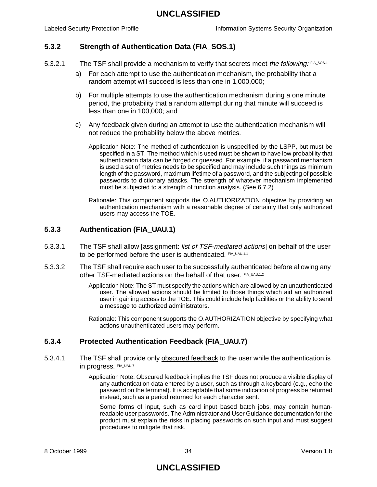#### <span id="page-33-0"></span>**5.3.2 Strength of Authentication Data (FIA\_SOS.1)**

- 5.3.2.1 The TSF shall provide a mechanism to verify that secrets meet the following: FIA\_SOS.1
	- a) For each attempt to use the authentication mechanism, the probability that a random attempt will succeed is less than one in 1,000,000;
	- b) For multiple attempts to use the authentication mechanism during a one minute period, the probability that a random attempt during that minute will succeed is less than one in 100,000; and
	- c) Any feedback given during an attempt to use the authentication mechanism will not reduce the probability below the above metrics.
		- Application Note: The method of authentication is unspecified by the LSPP, but must be specified in a ST. The method which is used must be shown to have low probability that authentication data can be forged or guessed. For example, if a password mechanism is used a set of metrics needs to be specified and may include such things as minimum length of the password, maximum lifetime of a password, and the subjecting of possible passwords to dictionary attacks. The strength of whatever mechanism implemented must be subjected to a strength of function analysis. (See 6.[7.2\)](#page-49-0)
		- Rationale: This component supports the [O.AUTHORIZATION](#page-18-0) objective by providing an authentication mechanism with a reasonable degree of certainty that only authorized users may access the TOE.

#### **5.3.3 Authentication (FIA\_UAU.1)**

- 5.3.3.1 The TSF shall allow [assignment: list of TSF-mediated actions] on behalf of the user to be performed before the user is authenticated. FIA\_UAU.1.1
- 5.3.3.2 The TSF shall require each user to be successfully authenticated before allowing any other TSF-mediated actions on the behalf of that user. FIA\_UAU.1.2
	- Application Note: The ST must specify the actions which are allowed by an unauthenticated user. The allowed actions should be limited to those things which aid an authorized user in gaining access to the TOE. This could include help facilities or the ability to send a message to authorized administrators.
	- Rationale: This component supports the [O.AUTHORIZATION](#page-18-0) objective by specifying what actions unauthenticated users may perform.

#### **5.3.4 Protected Authentication Feedback (FIA\_UAU.7)**

- 5.3.4.1 The TSF shall provide only obscured feedback to the user while the authentication is in progress. FIA\_UAU.7
	- Application Note: Obscured feedback implies the TSF does not produce a visible display of any authentication data entered by a user, such as through a keyboard (e.g., echo the password on the terminal). It is acceptable that some indication of progress be returned instead, such as a period returned for each character sent.

Some forms of input, such as card input based batch jobs, may contain humanreadable user passwords. The Administrator and User Guidance documentation for the product must explain the risks in placing passwords on such input and must suggest procedures to mitigate that risk.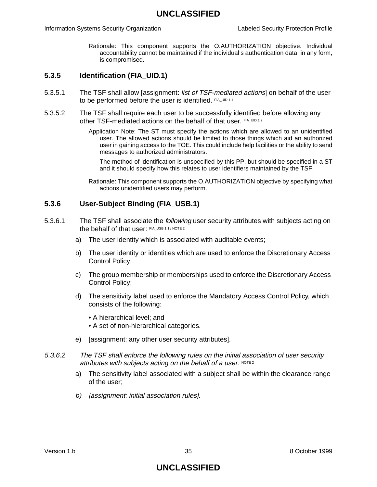Rationale: This component supports the [O.AUTHORIZATION](#page-18-0) objective. Individual accountability cannot be maintained if the individual's authentication data, in any form, is compromised.

#### <span id="page-34-0"></span>**5.3.5 Identification (FIA\_UID.1)**

- 5.3.5.1 The TSF shall allow [assignment: list of TSF-mediated actions] on behalf of the user to be performed before the user is identified. FIA\_UID.1.1
- 5.3.5.2 The TSF shall require each user to be successfully identified before allowing any other TSF-mediated actions on the behalf of that user. FIA\_UID.1.2

Application Note: The ST must specify the actions which are allowed to an unidentified user. The allowed actions should be limited to those things which aid an authorized user in gaining access to the TOE. This could include help facilities or the ability to send messages to authorized administrators.

The method of identification is unspecified by this PP, but should be specified in a ST and it should specify how this relates to user identifiers maintained by the TSF.

Rationale: This component supports the [O.AUTHORIZATION](#page-18-0) objective by specifying what actions unidentified users may perform.

#### **5.3.6 User-Subject Binding (FIA\_USB.1)**

- 5.3.6.1 The TSF shall associate the *following* user security attributes with subjects acting on the behalf of that user: FIA\_USB.1[.1 / NOT](#page-60-0)E 2
	- a) The user identity which is associated with auditable events;
	- b) The user identity or identities which are used to enforce the Discretionary Access Control Policy;
	- c) The group membership or memberships used to enforce the Discretionary Access Control Policy;
	- d) The sensitivity label used to enforce the Mandatory Access Control Policy, which consists of the following:
		- A hierarchical level; and
		- A set of non-hierarchical categories.
	- e) [assignment: any other user security attributes].
- 5.3.6.2 The TSF shall enforce the following rules on the initial association of user security attributes with subjects acting on the behalf of a user:  $NOTE 2$  $NOTE 2$ 
	- a) The sensitivity label associated with a subject shall be within the clearance range of the user;
	- b) [assignment: initial association rules].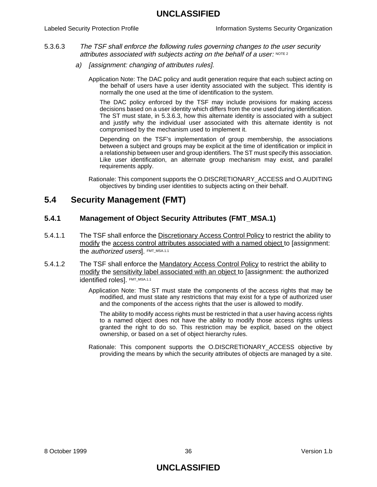- <span id="page-35-0"></span>5.3.6.3 The TSF shall enforce the following rules governing changes to the user security attributes associated with subjects acting on the behalf of a user:  $NOTE 2$ 
	- a) [assignment: changing of attributes rules].
		- Application Note: The DAC policy and audit generation require that each subject acting on the behalf of users have a user identity associated with the subject. This identity is normally the one used at the time of identification to the system.

The DAC policy enforced by the TSF may include provisions for making access decisions based on a user identity which differs from the one used during identification. The ST must state, in 5.3.6.3, how this alternate identity is associated with a subject and justify why the individual user associated with this alternate identity is not compromised by the mechanism used to implement it.

Depending on the TSF's implementation of group membership, the associations between a subject and groups may be explicit at the time of identification or implicit in a relationship between user and group identifiers. The ST must specify this association. Like user identification, an alternate group mechanism may exist, and parallel requirements apply.

Rationale: This component supports the [O.DISCRETIONARY\\_ACCESS](#page-18-0) and [O.AUDITING](#page-18-0) objectives by binding user identities to subjects acting on their behalf.

### **5.4 Security Management (FMT)**

#### **5.4.1 Management of Object Security Attributes (FMT\_MSA.1)**

- 5.4.1.1 The TSF shall enforce the Discretionary Access Control Policy to restrict the ability to modify the access control attributes associated with a named object to [assignment: the *authorized users*]. FMT\_MSA.1.1
- 5.4.1.2 The TSF shall enforce the Mandatory Access Control Policy to restrict the ability to modify the sensitivity label associated with an object to [assignment: the authorized identified roles]. FMT\_MSA.1.1

Application Note: The ST must state the components of the access rights that may be modified, and must state any restrictions that may exist for a type of authorized user and the components of the access rights that the user is allowed to modify.

The ability to modify access rights must be restricted in that a user having access rights to a named object does not have the ability to modify those access rights unless granted the right to do so. This restriction may be explicit, based on the object ownership, or based on a set of object hierarchy rules.

Rationale: This component supports the [O.DISCRETIONARY\\_ACCESS](#page-18-0) objective by providing the means by which the security attributes of objects are managed by a site.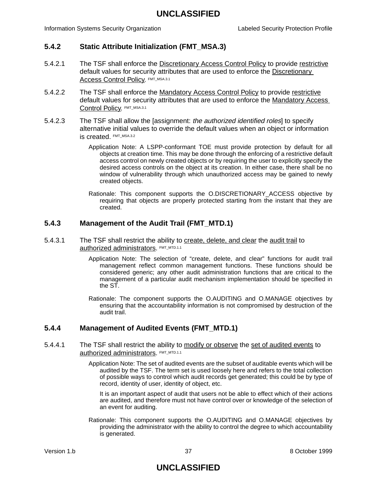#### <span id="page-36-0"></span>**5.4.2 Static Attribute Initialization (FMT\_MSA.3)**

- 5.4.2.1 The TSF shall enforce the Discretionary Access Control Policy to provide restrictive default values for security attributes that are used to enforce the Discretionary **Access Control Policy. FMT\_MSA.3.1**
- 5.4.2.2 The TSF shall enforce the Mandatory Access Control Policy to provide restrictive default values for security attributes that are used to enforce the Mandatory Access Control Policy. FMT\_MSA.3.1
- 5.4.2.3 The TSF shall allow the [assignment: the authorized identified roles] to specify alternative initial values to override the default values when an object or information is created. FMT\_MSA.3.2
	- Application Note: A LSPP-conformant TOE must provide protection by default for all objects at creation time. This may be done through the enforcing of a restrictive default access control on newly created objects or by requiring the user to explicitly specify the desired access controls on the object at its creation. In either case, there shall be no window of vulnerability through which unauthorized access may be gained to newly created objects.
	- Rationale: This component supports the [O.DISCRETIONARY\\_ACCESS](#page-18-0) objective by requiring that objects are properly protected starting from the instant that they are created.

#### **5.4.3 Management of the Audit Trail (FMT\_MTD.1)**

- 5.4.3.1 The TSF shall restrict the ability to create, delete, and clear the audit trail to authorized administrators. FMT\_MTD.1.1
	- Application Note: The selection of "create, delete, and clear" functions for audit trail management reflect common management functions. These functions should be considered generic; any other audit administration functions that are critical to the management of a particular audit mechanism implementation should be specified in the ST.
	- Rationale: The component supports the [O.AUDITING](#page-18-0) and [O.MANAGE](#page-18-0) objectives by ensuring that the accountability information is not compromised by destruction of the audit trail.

#### **5.4.4 Management of Audited Events (FMT\_MTD.1)**

- 5.4.4.1 The TSF shall restrict the ability to modify or observe the set of audited events to authorized administrators. FMT\_MTD.1.1
	- Application Note: The set of audited events are the subset of auditable events which will be audited by the TSF. The term set is used loosely here and refers to the total collection of possible ways to control which audit records get generated; this could be by type of record, identity of user, identity of object, etc.

It is an important aspect of audit that users not be able to effect which of their actions are audited, and therefore must not have control over or knowledge of the selection of an event for auditing.

Rationale: This component supports the [O.AUDITING](#page-18-0) and [O.MANAGE](#page-18-0) objectives by providing the administrator with the ability to control the degree to which accountability is generated.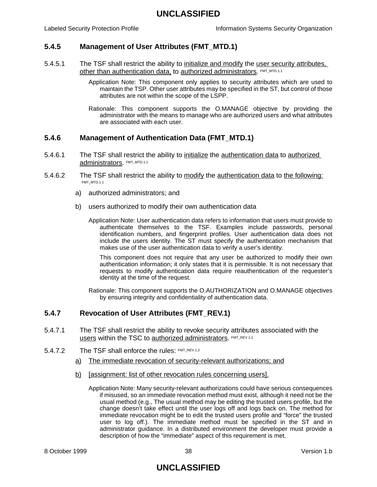#### <span id="page-37-0"></span>**5.4.5 Management of User Attributes (FMT\_MTD.1)**

5.4.5.1 The TSF shall restrict the ability to *initialize and modify* the user security attributes, other than authentication data, to authorized administrators. FMT\_MTD.1.1

> Application Note: This component only applies to security attributes which are used to maintain the TSP. Other user attributes may be specified in the ST, but control of those attributes are not within the scope of the LSPP.

> Rationale: This component supports the [O.MANAGE](#page-18-0) objective by providing the administrator with the means to manage who are authorized users and what attributes are associated with each user.

#### **5.4.6 Management of Authentication Data (FMT\_MTD.1)**

- 5.4.6.1 The TSF shall restrict the ability to initialize the authentication data to authorized administrators. FMT\_MTD.1.1
- 5.4.6.2 The TSF shall restrict the ability to modify the authentication data to the following: FMT\_MTD.1.1
	- a) authorized administrators; and
	- b) users authorized to modify their own authentication data
		- Application Note: User authentication data refers to information that users must provide to authenticate themselves to the TSF. Examples include passwords, personal identification numbers, and fingerprint profiles. User authentication data does not include the users identity. The ST must specify the authentication mechanism that makes use of the user authentication data to verify a user's identity.

This component does not require that any user be authorized to modify their own authentication information; it only states that it is permissible. It is not necessary that requests to modify authentication data require reauthentication of the requester's identity at the time of the request.

Rationale: This component supports the [O.AUTHORIZATION](#page-18-0) and [O.MANAGE](#page-18-0) objectives by ensuring integrity and confidentiality of authentication data.

#### **5.4.7 Revocation of User Attributes (FMT\_REV.1)**

- 5.4.7.1 The TSF shall restrict the ability to revoke security attributes associated with the users within the TSC to authorized administrators. FMT\_REV.1.1
- 5.4.7.2 The TSF shall enforce the rules: FMT\_REV.1.2
	- a) The immediate revocation of security-relevant authorizations; and
	- b) [assignment: list of other revocation rules concerning users].

Application Note: Many security-relevant authorizations could have serious consequences if misused, so an immediate revocation method must exist, although it need not be the usual method (e.g., The usual method may be editing the trusted users profile, but the change doesn't take effect until the user logs off and logs back on. The method for immediate revocation might be to edit the trusted users profile and "force" the trusted user to log off.). The immediate method must be specified in the ST and in administrator guidance. In a distributed environment the developer must provide a description of how the "immediate" aspect of this requirement is met.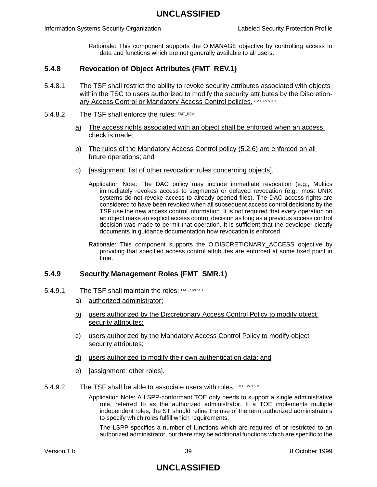Rationale: This component supports the [O.MANAGE](#page-18-0) objective by controlling access to data and functions which are not generally available to all users.

#### <span id="page-38-0"></span>**5.4.8 Revocation of Object Attributes (FMT\_REV.1)**

- 5.4.8.1 The TSF shall restrict the ability to revoke security attributes associated with objects within the TSC to users authorized to modify the security attributes by the Discretion**ary Access Control or Mandatory Access Control policies. FMT\_REV.1.1**
- 5.4.8.2 The TSF shall enforce the rules: FMT\_REV.
	- a) The access rights associated with an object shall be enforced when an access check is made;
	- b) The rules of the Mandatory Access Control policy ([5.2.6](#page-28-0)) are enforced on all future operations; and
	- c) [assignment: list of other revocation rules concerning objects].
		- Application Note: The DAC policy may include immediate revocation (e.g., Multics immediately revokes access to segments) or delayed revocation (e.g., most UNIX systems do not revoke access to already opened files). The DAC access rights are considered to have been revoked when all subsequent access control decisions by the TSF use the new access control information. It is not required that every operation on an object make an explicit access control decision as long as a previous access control decision was made to permit that operation. It is sufficient that the developer clearly documents in guidance documentation how revocation is enforced.
		- Rationale: This component supports the [O.DISCRETIONARY\\_ACCESS](#page-18-0) objective by providing that specified access control attributes are enforced at some fixed point in time.

#### **5.4.9 Security Management Roles (FMT\_SMR.1)**

- 5.4.9.1 The TSF shall maintain the roles: FMT\_SMR.1.1
	- a) authorized administrator;
	- b) users authorized by the Discretionary Access Control Policy to modify object security attributes;
	- c) users authorized by the Mandatory Access Control Policy to modify object security attributes;
	- d) users authorized to modify their own authentication data; and
	- e) [assignment: other roles].
- 5.4.9.2 The TSF shall be able to associate users with roles. FMT\_SMR.1.2

Application Note: A LSPP-conformant TOE only needs to support a single administrative role, referred to as the authorized administrator. If a TOE implements multiple independent roles, the ST should refine the use of the term authorized administrators to specify which roles fulfill which requirements.

The LSPP specifies a number of functions which are required of or restricted to an authorized administrator, but there may be additional functions which are specific to the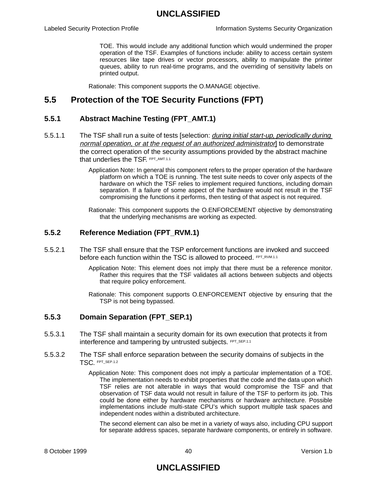TOE. This would include any additional function which would undermined the proper operation of the TSF. Examples of functions include: ability to access certain system resources like tape drives or vector processors, ability to manipulate the printer queues, ability to run real-time programs, and the overriding of sensitivity labels on printed output.

Rationale: This component supports the [O.MANAGE ob](#page-18-0)jective.

#### <span id="page-39-0"></span>**5.5 Protection of the TOE Security Functions (FPT)**

#### **5.5.1 Abstract Machine Testing (FPT\_AMT.1)**

- 5.5.1.1 The TSF shall run a suite of tests [selection: *during initial start-up, periodically during* normal operation, or at the request of an authorized administrator to demonstrate the correct operation of the security assumptions provided by the abstract machine that underlies the TSF. FPT\_AMT.1.1
	- Application Note: In general this component refers to the proper operation of the hardware platform on which a TOE is running. The test suite needs to cover only aspects of the hardware on which the TSF relies to implement required functions, including domain separation. If a failure of some aspect of the hardware would not result in the TSF compromising the functions it performs, then testing of that aspect is not required.
	- Rationale: This component supports the [O.ENFORCEMENT](#page-18-0) objective by demonstrating that the underlying mechanisms are working as expected.

#### **5.5.2 Reference Mediation (FPT\_RVM.1)**

- 5.5.2.1 The TSF shall ensure that the TSP enforcement functions are invoked and succeed before each function within the TSC is allowed to proceed. FPT\_RVM.1.1
	- Application Note: This element does not imply that there must be a reference monitor. Rather this requires that the TSF validates all actions between subjects and objects that require policy enforcement.

Rationale: This component supports [O.ENFORCEMENT](#page-18-0) objective by ensuring that the TSP is not being bypassed.

#### **5.5.3 Domain Separation (FPT\_SEP.1)**

- 5.5.3.1 The TSF shall maintain a security domain for its own execution that protects it from interference and tampering by untrusted subjects. FPT\_SEP.1.1
- 5.5.3.2 The TSF shall enforce separation between the security domains of subjects in the TSC. FPT\_SEP.1.2

Application Note: This component does not imply a particular implementation of a TOE. The implementation needs to exhibit properties that the code and the data upon which TSF relies are not alterable in ways that would compromise the TSF and that observation of TSF data would not result in failure of the TSF to perform its job. This could be done either by hardware mechanisms or hardware architecture. Possible implementations include multi-state CPU's which support multiple task spaces and independent nodes within a distributed architecture.

The second element can also be met in a variety of ways also, including CPU support for separate address spaces, separate hardware components, or entirely in software.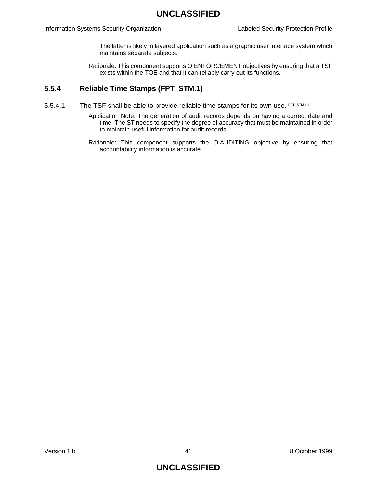The latter is likely in layered application such as a graphic user interface system which maintains separate subjects.

Rationale: This component supports [O.ENFORCEMENT](#page-18-0) objectives by ensuring that a TSF exists within the TOE and that it can reliably carry out its functions.

#### <span id="page-40-0"></span>**5.5.4 Reliable Time Stamps (FPT\_STM.1)**

- 5.5.4.1 The TSF shall be able to provide reliable time stamps for its own use. FPT\_STM.1.1
	- Application Note: The generation of audit records depends on having a correct date and time. The ST needs to specify the degree of accuracy that must be maintained in order to maintain useful information for audit records.
	- Rationale: This component supports the [O.AUDITING](#page-18-0) objective by ensuring that accountability information is accurate.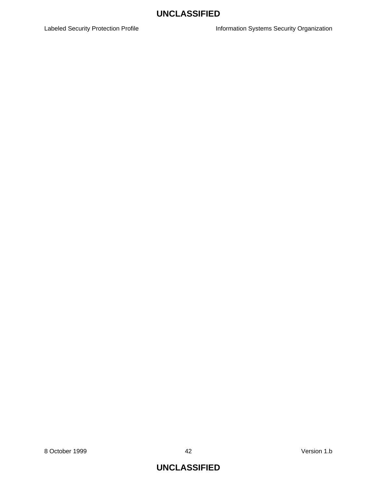Labeled Security Protection Profile **Information Systems Security Organization**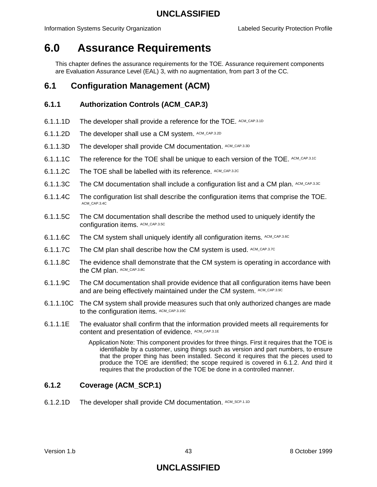## <span id="page-42-0"></span>**6.0 Assurance Requirements**

This chapter defines the assurance requirements for the TOE. Assurance requirement components are Evaluation Assurance Level (EAL) 3, with no augmentation, from part 3 of the CC.

### **6.1 Configuration Management (ACM)**

#### **6.1.1 Authorization Controls (ACM\_CAP.3)**

- 6.1.1.1D The developer shall provide a reference for the TOE. ACM\_CAP.3.1D
- 6.1.1.2D The developer shall use a CM system. ACM\_CAP.3.2D
- 6.1.1.3D The developer shall provide CM documentation. ACM\_CAP.3.3D
- 6.1.1.1C The reference for the TOE shall be unique to each version of the TOE. ACM\_CAP.3.1C
- 6.1.1.2C The TOE shall be labelled with its reference. ACM\_CAP.3.2C
- 6.1.1.3C The CM documentation shall include a configuration list and a CM plan. ACM\_CAP.3.3C
- 6.1.1.4C The configuration list shall describe the configuration items that comprise the TOE. ACM\_CAP.3.4C
- 6.1.1.5C The CM documentation shall describe the method used to uniquely identify the configuration items. ACM\_CAP.3.5C
- 6.1.1.6C The CM system shall uniquely identify all configuration items. ACM\_CAP.3.6C
- 6.1.1.7C The CM plan shall describe how the CM system is used. ACM\_CAP.3.7C
- 6.1.1.8C The evidence shall demonstrate that the CM system is operating in accordance with the CM plan. ACM\_CAP.3.8C
- 6.1.1.9C The CM documentation shall provide evidence that all configuration items have been and are being effectively maintained under the CM system. ACM\_CAP.3.9C
- 6.1.1.10C The CM system shall provide measures such that only authorized changes are made to the configuration items. ACM\_CAP.3.10C
- 6.1.1.1E The evaluator shall confirm that the information provided meets all requirements for content and presentation of evidence. ACM\_CAP.3.1E
	- Application Note: This component provides for three things. First it requires that the TOE is identifiable by a customer, using things such as version and part numbers, to ensure that the proper thing has been installed. Second it requires that the pieces used to produce the TOE are identified; the scope required is covered in 6.1.2. And third it requires that the production of the TOE be done in a controlled manner.

#### **6.1.2 Coverage (ACM\_SCP.1)**

6.1.2.1D The developer shall provide CM documentation. ACM\_SCP.1.1D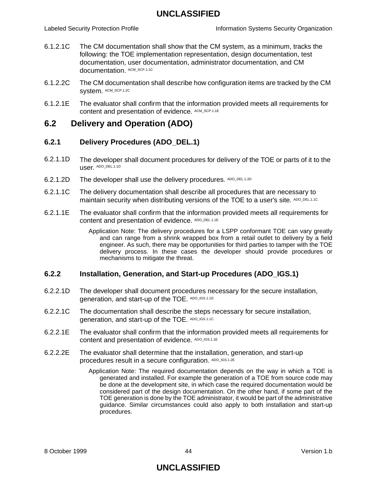- <span id="page-43-0"></span>6.1.2.1C The CM documentation shall show that the CM system, as a minimum, tracks the following: the TOE implementation representation, design documentation, test documentation, user documentation, administrator documentation, and CM documentation. ACM\_SCP.1.1C
- 6.1.2.2C The CM documentation shall describe how configuration items are tracked by the CM system. ACM\_SCP.1.2C
- 6.1.2.1E The evaluator shall confirm that the information provided meets all requirements for content and presentation of evidence. ACM\_SCP.1.1E

#### **6.2 Delivery and Operation (ADO)**

#### **6.2.1 Delivery Procedures (ADO\_DEL.1)**

- 6.2.1.1D The developer shall document procedures for delivery of the TOE or parts of it to the user. ADO\_DEL.1.1D
- 6.2.1.2D The developer shall use the delivery procedures. ADO\_DEL.1.2D
- 6.2.1.1C The delivery documentation shall describe all procedures that are necessary to maintain security when distributing versions of the TOE to a user's site. ADO\_DEL.1.1C
- 6.2.1.1E The evaluator shall confirm that the information provided meets all requirements for content and presentation of evidence. ADO\_DEL.1.1E
	- Application Note: The delivery procedures for a LSPP conformant TOE can vary greatly and can range from a shrink wrapped box from a retail outlet to delivery by a field engineer. As such, there may be opportunities for third parties to tamper with the TOE delivery process. In these cases the developer should provide procedures or mechanisms to mitigate the threat.

#### **6.2.2 Installation, Generation, and Start-up Procedures (ADO\_IGS.1)**

- 6.2.2.1D The developer shall document procedures necessary for the secure installation, generation, and start-up of the TOE. ADO\_IGS.1.1D
- 6.2.2.1C The documentation shall describe the steps necessary for secure installation, generation, and start-up of the TOE, ADO\_IGS.1.1C
- 6.2.2.1E The evaluator shall confirm that the information provided meets all requirements for content and presentation of evidence. ADO\_IGS.1.1E
- 6.2.2.2E The evaluator shall determine that the installation, generation, and start-up procedures result in a secure configuration. ADO\_IGS.1.2E

Application Note: The required documentation depends on the way in which a TOE is generated and installed. For example the generation of a TOE from source code may be done at the development site, in which case the required documentation would be considered part of the design documentation. On the other hand, if some part of the TOE generation is done by the TOE administrator, it would be part of the administrative guidance. Similar circumstances could also apply to both installation and start-up procedures.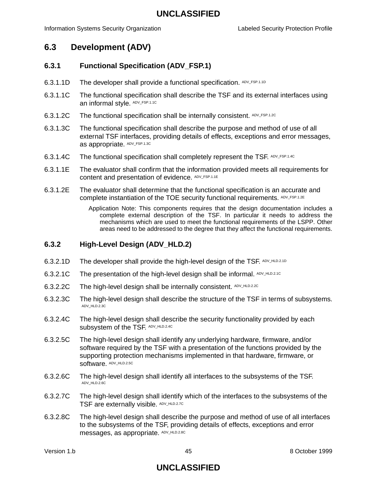### <span id="page-44-0"></span>**6.3 Development (ADV)**

#### **6.3.1 Functional Specification (ADV\_FSP.1)**

- 6.3.1.1D The developer shall provide a functional specification. ADV\_FSP.1.1D
- 6.3.1.1C The functional specification shall describe the TSF and its external interfaces using an informal style. ADV\_FSP.1.1C
- 6.3.1.2C The functional specification shall be internally consistent. ADV\_FSP.1.2C
- 6.3.1.3C The functional specification shall describe the purpose and method of use of all external TSF interfaces, providing details of effects, exceptions and error messages, as appropriate. ADV\_FSP.1.3C
- 6.3.1.4C The functional specification shall completely represent the TSF. ADV\_FSP.1.4C
- 6.3.1.1E The evaluator shall confirm that the information provided meets all requirements for content and presentation of evidence. ADV\_FSP.1.1E
- 6.3.1.2E The evaluator shall determine that the functional specification is an accurate and complete instantiation of the TOE security functional requirements. ADV\_FSP.1.2E

Application Note: This components requires that the design documentation includes a complete external description of the TSF. In particular it needs to address the mechanisms which are used to meet the functional requirements of the LSPP. Other areas need to be addressed to the degree that they affect the functional requirements.

#### **6.3.2 High-Level Design (ADV\_HLD.2)**

- 6.3.2.1D The developer shall provide the high-level design of the TSF. ADV\_HLD.2.1D
- 6.3.2.1C The presentation of the high-level design shall be informal. ADV\_HLD.2.1C
- 6.3.2.2C The high-level design shall be internally consistent. ADV\_HLD.2.2C
- 6.3.2.3C The high-level design shall describe the structure of the TSF in terms of subsystems. ADV\_HLD.2.3C
- 6.3.2.4C The high-level design shall describe the security functionality provided by each subsystem of the TSF. ADV\_HLD.2.4C
- 6.3.2.5C The high-level design shall identify any underlying hardware, firmware, and/or software required by the TSF with a presentation of the functions provided by the supporting protection mechanisms implemented in that hardware, firmware, or software. ADV\_HLD.2.5C
- 6.3.2.6C The high-level design shall identify all interfaces to the subsystems of the TSF. ADV\_HLD.2.6C
- 6.3.2.7C The high-level design shall identify which of the interfaces to the subsystems of the TSF are externally visible. ADV\_HLD.2.7C
- 6.3.2.8C The high-level design shall describe the purpose and method of use of all interfaces to the subsystems of the TSF, providing details of effects, exceptions and error messages, as appropriate. ADV\_HLD.2.8C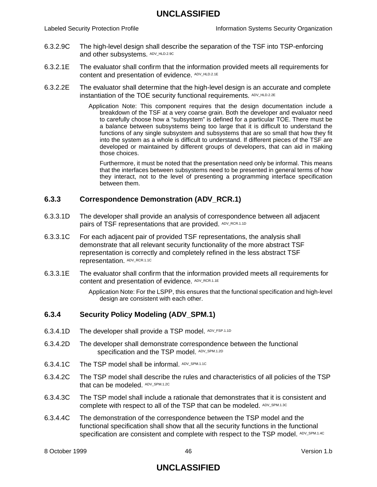- <span id="page-45-0"></span>6.3.2.9C The high-level design shall describe the separation of the TSF into TSP-enforcing and other subsystems. ADV\_HLD.2.9C
- 6.3.2.1E The evaluator shall confirm that the information provided meets all requirements for content and presentation of evidence. ADV\_HLD.2.1E
- 6.3.2.2E The evaluator shall determine that the high-level design is an accurate and complete instantiation of the TOE security functional requirements. ADV\_HLD.2.2E
	- Application Note: This component requires that the design documentation include a breakdown of the TSF at a very coarse grain. Both the developer and evaluator need to carefully choose how a "subsystem" is defined for a particular TOE. There must be a balance between subsystems being too large that it is difficult to understand the functions of any single subsystem and subsystems that are so small that how they fit into the system as a whole is difficult to understand. If different pieces of the TSF are developed or maintained by different groups of developers, that can aid in making those choices.

Furthermore, it must be noted that the presentation need only be informal. This means that the interfaces between subsystems need to be presented in general terms of how they interact, not to the level of presenting a programming interface specification between them.

#### **6.3.3 Correspondence Demonstration (ADV\_RCR.1)**

- 6.3.3.1D The developer shall provide an analysis of correspondence between all adjacent pairs of TSF representations that are provided. ADV\_RCR.1.1D
- 6.3.3.1C For each adjacent pair of provided TSF representations, the analysis shall demonstrate that all relevant security functionality of the more abstract TSF representation is correctly and completely refined in the less abstract TSF representation. ADV\_RCR.1.1C
- 6.3.3.1E The evaluator shall confirm that the information provided meets all requirements for content and presentation of evidence. ADV\_RCR.1.1E

Application Note: For the LSPP, this ensures that the functional specification and high-level design are consistent with each other.

#### **6.3.4 Security Policy Modeling (ADV\_SPM.1)**

- 6.3.4.1D The developer shall provide a TSP model. ADV\_FSP.1.1D
- 6.3.4.2D The developer shall demonstrate correspondence between the functional specification and the TSP model. ADV\_SPM.1.2D
- 6.3.4.1C The TSP model shall be informal. ADV\_SPM.1.1C
- 6.3.4.2C The TSP model shall describe the rules and characteristics of all policies of the TSP that can be modeled. ADV\_SPM.1.2C
- 6.3.4.3C The TSP model shall include a rationale that demonstrates that it is consistent and complete with respect to all of the TSP that can be modeled. ADV\_SPM.1.3C
- 6.3.4.4C The demonstration of the correspondence between the TSP model and the functional specification shall show that all the security functions in the functional specification are consistent and complete with respect to the TSP model. ADV\_SPM.1.4C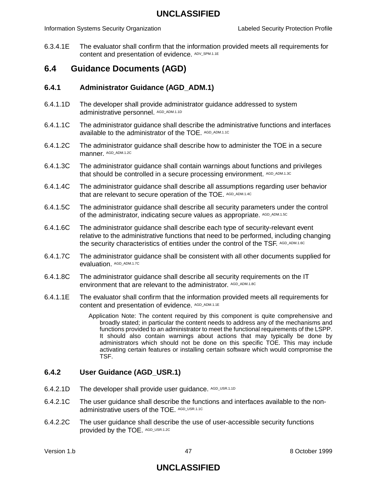<span id="page-46-0"></span>Information Systems Security Organization Labeled Security Protection Profile

6.3.4.1E The evaluator shall confirm that the information provided meets all requirements for content and presentation of evidence. ADV\_SPM.1.1E

#### **6.4 Guidance Documents (AGD)**

#### **6.4.1 Administrator Guidance (AGD\_ADM.1)**

- 6.4.1.1D The developer shall provide administrator guidance addressed to system administrative personnel. AGD\_ADM.1.1D
- 6.4.1.1C The administrator guidance shall describe the administrative functions and interfaces available to the administrator of the TOE. AGD\_ADM.1.1C
- 6.4.1.2C The administrator guidance shall describe how to administer the TOE in a secure manner. AGD\_ADM.1.2C
- 6.4.1.3C The administrator guidance shall contain warnings about functions and privileges that should be controlled in a secure processing environment. AGD\_ADM.1.3C
- 6.4.1.4C The administrator guidance shall describe all assumptions regarding user behavior that are relevant to secure operation of the TOE. AGD\_ADM.1.4C
- 6.4.1.5C The administrator guidance shall describe all security parameters under the control of the administrator, indicating secure values as appropriate. AGD\_ADM.1.5C
- 6.4.1.6C The administrator guidance shall describe each type of security-relevant event relative to the administrative functions that need to be performed, including changing the security characteristics of entities under the control of the TSF. AGD\_ADM.1.6C
- 6.4.1.7C The administrator guidance shall be consistent with all other documents supplied for evaluation. AGD\_ADM.1.7C
- 6.4.1.8C The administrator guidance shall describe all security requirements on the IT environment that are relevant to the administrator. AGD\_ADM.1.8C
- 6.4.1.1E The evaluator shall confirm that the information provided meets all requirements for content and presentation of evidence. AGD\_ADM.1.1E
	- Application Note: The content required by this component is quite comprehensive and broadly stated; in particular the content needs to address any of the mechanisms and functions provided to an administrator to meet the functional requirements of the LSPP. It should also contain warnings about actions that may typically be done by administrators which should not be done on this specific TOE. This may include activating certain features or installing certain software which would compromise the TSF.

#### **6.4.2 User Guidance (AGD\_USR.1)**

- 6.4.2.1D The developer shall provide user guidance. AGD\_USR.1.1D
- 6.4.2.1C The user guidance shall describe the functions and interfaces available to the nonadministrative users of the TOE. AGD\_USR.1.1C
- 6.4.2.2C The user guidance shall describe the use of user-accessible security functions provided by the TOE. AGD\_USR.1.2C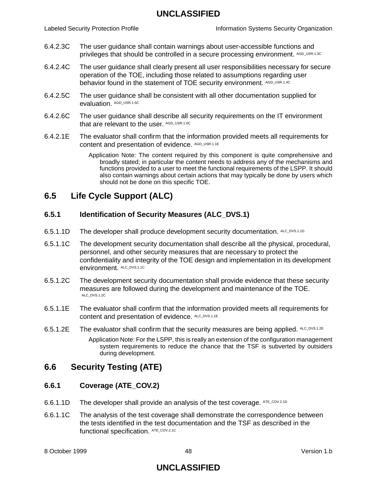- <span id="page-47-0"></span>6.4.2.3C The user guidance shall contain warnings about user-accessible functions and privileges that should be controlled in a secure processing environment. AGD\_USR.1.3C
- 6.4.2.4C The user guidance shall clearly present all user responsibilities necessary for secure operation of the TOE, including those related to assumptions regarding user behavior found in the statement of TOE security environment. AGD\_USR.1.4C
- 6.4.2.5C The user guidance shall be consistent with all other documentation supplied for evaluation. AGD\_USR.1.5C
- 6.4.2.6C The user guidance shall describe all security requirements on the IT environment that are relevant to the user. AGD\_USR.1.6C
- 6.4.2.1E The evaluator shall confirm that the information provided meets all requirements for content and presentation of evidence. AGD\_USR.1.1E
	- Application Note: The content required by this component is quite comprehensive and broadly stated; in particular the content needs to address any of the mechanisms and functions provided to a user to meet the functional requirements of the LSPP. It should also contain warnings about certain actions that may typically be done by users which should not be done on this specific TOE.

## **6.5 Life Cycle Support (ALC)**

#### **6.5.1 Identification of Security Measures (ALC\_DVS.1)**

- 6.5.1.1D The developer shall produce development security documentation. ALC\_DVS.1.1D
- 6.5.1.1C The development security documentation shall describe all the physical, procedural, personnel, and other security measures that are necessary to protect the confidentiality and integrity of the TOE design and implementation in its development environment. ALC\_DVS.1.1C
- 6.5.1.2C The development security documentation shall provide evidence that these security measures are followed during the development and maintenance of the TOE.  $A$ LC\_DVS.1.2C.
- 6.5.1.1E The evaluator shall confirm that the information provided meets all requirements for content and presentation of evidence. ALC\_DVS.1.1E
- 6.5.1.2E The evaluator shall confirm that the security measures are being applied. ALC\_DVS.1.2E

Application Note: For the LSPP, this is really an extension of the configuration management system requirements to reduce the chance that the TSF is subverted by outsiders during development.

### **6.6 Security Testing (ATE)**

#### **6.6.1 Coverage (ATE\_COV.2)**

- 6.6.1.1D The developer shall provide an analysis of the test coverage. ATE\_COV.2.1D
- 6.6.1.1C The analysis of the test coverage shall demonstrate the correspondence between the tests identified in the test documentation and the TSF as described in the functional specification. ATE\_COV.2.1C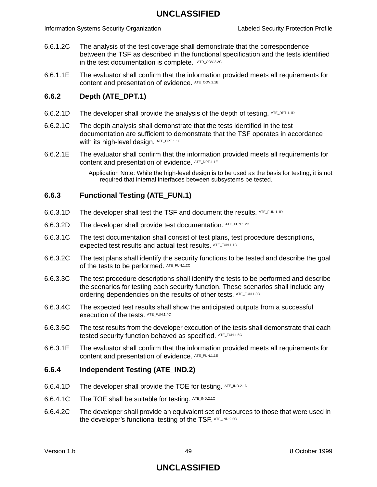<span id="page-48-0"></span>Information Systems Security Organization Labeled Security Protection Profile

- 6.6.1.2C The analysis of the test coverage shall demonstrate that the correspondence between the TSF as described in the functional specification and the tests identified in the test documentation is complete. ATR\_COV.2.2C
- 6.6.1.1E The evaluator shall confirm that the information provided meets all requirements for content and presentation of evidence. ATE\_COV.2.1E

#### **6.6.2 Depth (ATE\_DPT.1)**

- 6.6.2.1D The developer shall provide the analysis of the depth of testing. ATE\_DPT.1.1D
- 6.6.2.1C The depth analysis shall demonstrate that the tests identified in the test documentation are sufficient to demonstrate that the TSF operates in accordance With its high-level design. ATE\_DPT.1.1C
- 6.6.2.1E The evaluator shall confirm that the information provided meets all requirements for content and presentation of evidence. ATE\_DPT.1.1E

Application Note: While the high-level design is to be used as the basis for testing, it is not required that internal interfaces between subsystems be tested.

#### **6.6.3 Functional Testing (ATE\_FUN.1)**

- 6.6.3.1D The developer shall test the TSF and document the results. ATE\_FUN.1.1D
- 6.6.3.2D The developer shall provide test documentation. ATE\_FUN.1.2D
- 6.6.3.1C The test documentation shall consist of test plans, test procedure descriptions, expected test results and actual test results. ATE\_FUN.1.1C
- 6.6.3.2C The test plans shall identify the security functions to be tested and describe the goal of the tests to be performed. ATE\_FUN.1.2C
- 6.6.3.3C The test procedure descriptions shall identify the tests to be performed and describe the scenarios for testing each security function. These scenarios shall include any ordering dependencies on the results of other tests. ATE\_FUN.1.3C
- 6.6.3.4C The expected test results shall show the anticipated outputs from a successful execution of the tests. ATE\_FUN.1.4C
- 6.6.3.5C The test results from the developer execution of the tests shall demonstrate that each tested security function behaved as specified. ATE\_FUN.1.5C
- 6.6.3.1E The evaluator shall confirm that the information provided meets all requirements for content and presentation of evidence. ATE\_FUN.1.1E

#### **6.6.4 Independent Testing (ATE\_IND.2)**

- 6.6.4.1D The developer shall provide the TOE for testing. ATE\_IND.2.1D
- 6.6.4.1C The TOE shall be suitable for testing. ATE\_IND.2.1C
- 6.6.4.2C The developer shall provide an equivalent set of resources to those that were used in the developer's functional testing of the TSF. ATE\_IND.2.2C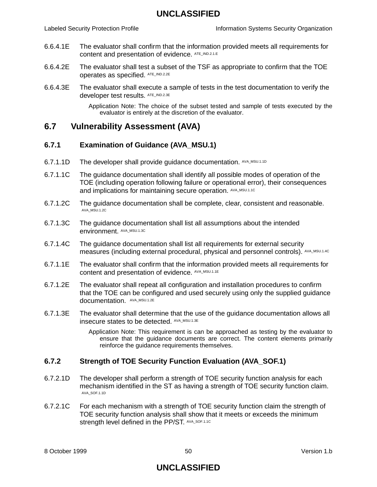- <span id="page-49-0"></span>6.6.4.1E The evaluator shall confirm that the information provided meets all requirements for content and presentation of evidence. ATE\_IND.2.1.E
- 6.6.4.2E The evaluator shall test a subset of the TSF as appropriate to confirm that the TOE operates as specified. ATE\_IND.2.2E
- 6.6.4.3E The evaluator shall execute a sample of tests in the test documentation to verify the developer test results. ATE\_IND.2.3E

Application Note: The choice of the subset tested and sample of tests executed by the evaluator is entirely at the discretion of the evaluator.

#### **6.7 Vulnerability Assessment (AVA)**

#### **6.7.1 Examination of Guidance (AVA\_MSU.1)**

- 6.7.1.1D The developer shall provide guidance documentation. AVA\_MSU.1.1D
- 6.7.1.1C The guidance documentation shall identify all possible modes of operation of the TOE (including operation following failure or operational error), their consequences and implications for maintaining secure operation. AVA\_MSU.1.1C
- 6.7.1.2C The guidance documentation shall be complete, clear, consistent and reasonable. AVA\_MSU.1.2C
- 6.7.1.3C The guidance documentation shall list all assumptions about the intended environment. AVA\_MSU.1.3C
- 6.7.1.4C The guidance documentation shall list all requirements for external security measures (including external procedural, physical and personnel controls). AVA\_MSU.1.4C
- 6.7.1.1E The evaluator shall confirm that the information provided meets all requirements for content and presentation of evidence. AVA\_MSU.1.1E
- 6.7.1.2E The evaluator shall repeat all configuration and installation procedures to confirm that the TOE can be configured and used securely using only the supplied guidance documentation. AVA\_MSU.1.2E
- 6.7.1.3E The evaluator shall determine that the use of the guidance documentation allows all insecure states to be detected. AVA\_MSU.1.3E

Application Note: This requirement is can be approached as testing by the evaluator to ensure that the guidance documents are correct. The content elements primarily reinforce the guidance requirements themselves.

#### **6.7.2 Strength of TOE Security Function Evaluation (AVA\_SOF.1)**

- 6.7.2.1D The developer shall perform a strength of TOE security function analysis for each mechanism identified in the ST as having a strength of TOE security function claim. AVA\_SOF.1.1D
- 6.7.2.1C For each mechanism with a strength of TOE security function claim the strength of TOE security function analysis shall show that it meets or exceeds the minimum strength level defined in the PP/ST. AVA\_SOF.1.1C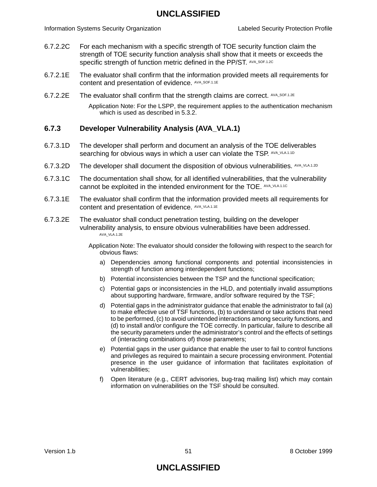<span id="page-50-0"></span>Information Systems Security Organization Labeled Security Protection Profile

- 6.7.2.2C For each mechanism with a specific strength of TOE security function claim the strength of TOE security function analysis shall show that it meets or exceeds the specific strength of function metric defined in the PP/ST. AVA\_SOF.1.2C
- 6.7.2.1E The evaluator shall confirm that the information provided meets all requirements for content and presentation of evidence. AVA\_SOF.1.1E
- 6.7.2.2E The evaluator shall confirm that the strength claims are correct. AVA\_SOF.1.2E Application Note: For the LSPP, the requirement applies to the authentication mechanism which is used as described in [5.3.2.](#page-33-0)

#### **6.7.3 Developer Vulnerability Analysis (AVA\_VLA.1)**

- 6.7.3.1D The developer shall perform and document an analysis of the TOE deliverables searching for obvious ways in which a user can violate the TSP. AVA\_VLA.1.1D
- 6.7.3.2D The developer shall document the disposition of obvious vulnerabilities. AVA\_VLA.1.2D
- 6.7.3.1C The documentation shall show, for all identified vulnerabilities, that the vulnerability cannot be exploited in the intended environment for the TOE. AVA\_VLA.1.1C
- 6.7.3.1E The evaluator shall confirm that the information provided meets all requirements for content and presentation of evidence. AVA\_VLA.1.1E
- 6.7.3.2E The evaluator shall conduct penetration testing, building on the developer vulnerability analysis, to ensure obvious vulnerabilities have been addressed. AVA\_VLA.1.2E

Application Note: The evaluator should consider the following with respect to the search for obvious flaws:

- a) Dependencies among functional components and potential inconsistencies in strength of function among interdependent functions;
- b) Potential inconsistencies between the TSP and the functional specification;
- c) Potential gaps or inconsistencies in the HLD, and potentially invalid assumptions about supporting hardware, firmware, and/or software required by the TSF;
- d) Potential gaps in the administrator guidance that enable the administrator to fail (a) to make effective use of TSF functions, (b) to understand or take actions that need to be performed, (c) to avoid unintended interactions among security functions, and (d) to install and/or configure the TOE correctly. In particular, failure to describe all the security parameters under the administrator's control and the effects of settings of (interacting combinations of) those parameters;
- e) Potential gaps in the user guidance that enable the user to fail to control functions and privileges as required to maintain a secure processing environment. Potential presence in the user guidance of information that facilitates exploitation of vulnerabilities;
- f) Open literature (e.g., CERT advisories, bug-traq mailing list) which may contain information on vulnerabilities on the TSF should be consulted.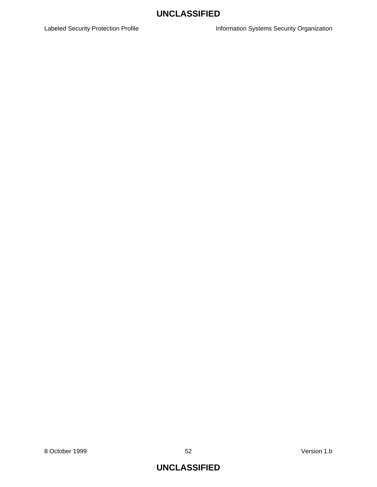Labeled Security Protection Profile **Information Systems Security Organization**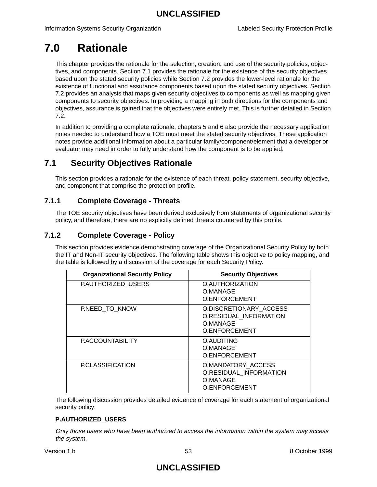## <span id="page-52-0"></span>**7.0 Rationale**

This chapter provides the rationale for the selection, creation, and use of the security policies, objectives, and components. Section 7.1 provides the rationale for the existence of the security objectives based upon the stated security policies while Section 7[.2 p](#page-54-0)rovides the lower-level rationale for the existence of functional and assurance components based upon the stated security objectives. Section [7.2](#page-54-0) provides an analysis that maps given security objectives to components as well as mapping given components to security objectives. In providing a mapping in both directions for the components and objectives, assurance is gained that the objectives were entirely met. This is further detailed in Section [7.2.](#page-54-0)

In addition to providing a complete rationale, chapters [5 a](#page-20-0)nd [6 a](#page-42-0)lso provide the necessary application notes needed to understand how a TOE must meet the stated security objectives. These application notes provide additional information about a particular family/component/element that a developer or evaluator may need in order to fully understand how the component is to be applied.

## **7.1 Security Objectives Rationale**

This section provides a rationale for the existence of each threat, policy statement, security objective, and component that comprise the protection profile.

#### **7.1.1 Complete Coverage - Threats**

The TOE security objectives have been derived exclusively from statements of organizational security policy, and therefore, there are no explicitly defined threats countered by this profile.

#### **7.1.2 Complete Coverage - Policy**

This section provides evidence demonstrating coverage of the Organizational Security Policy by both the IT and Non-IT security objectives. The following table shows this objective to policy mapping, and the table is followed by a discussion of the coverage for each Security Policy.

| <b>Organizational Security Policy</b> | <b>Security Objectives</b>                                                    |
|---------------------------------------|-------------------------------------------------------------------------------|
| P.AUTHORIZED_USERS                    | O.AUTHORIZATION<br>O.MANAGE<br>O.ENFORCEMENT                                  |
| P.NEED TO KNOW                        | O.DISCRETIONARY ACCESS<br>O.RESIDUAL INFORMATION<br>O.MANAGE<br>O.ENFORCEMENT |
| <b>PACCOUNTABILITY</b>                | O.AUDITING<br>O.MANAGE<br>O.ENFORCEMENT                                       |
| <b>PCLASSIFICATION</b>                | O.MANDATORY ACCESS<br>O.RESIDUAL INFORMATION<br>O.MANAGE<br>O.ENFORCEMENT     |

The following discussion provides detailed evidence of coverage for each statement of organizational security policy:

#### **[P.AUTHORIZED\\_USERS](#page-14-0)**

[Only those users who have been authorized to access the information within the system may access](#page-14-0) [the system.](#page-14-0)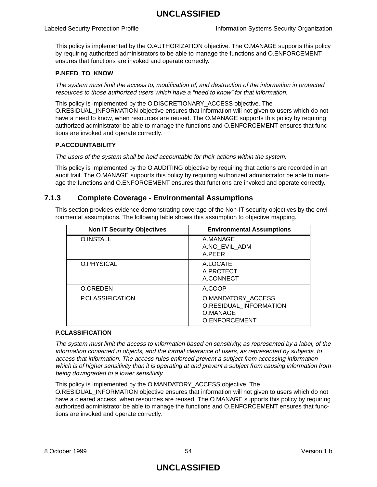<span id="page-53-0"></span>This policy is implemented by th[e O.AUTHORIZATION](#page-18-0) objective. Th[e O.MANAGE](#page-18-0) supports this policy by requiring authorized administrators to be able to manage the functions and O.[ENFORCEMENT](#page-18-0) ensures that functions are invoked and operate correctly.

#### **[P.NEED\\_TO\\_KNOW](#page-14-0)**

[The system must limit the access to, modification of, and destruction of the information in protected](#page-14-0) [resources to those authorized users which have a "need to know" for that information.](#page-14-0)

This policy is implemented by the [O.DISCRETIONARY\\_ACCESS ob](#page-18-0)jective. The [O.RESIDUAL\\_INFORMATION o](#page-18-0)bjective ensures that information will not given to users which do not have a need to know, when resources are reused. The [O.MANAGE s](#page-18-0)upports this policy by requiring authorized administrator be able to manage the functions and [O.ENFORCEMENT e](#page-18-0)nsures that functions are invoked and operate correctly.

#### **[P.ACCOUNTABILITY](#page-14-0)**

[The users of the system shall be held accountable for their actions within the system.](#page-14-0)

This policy is implemented by the [O.AUDITING](#page-18-0) objective by requiring that actions are recorded in an audit trail. The [O.MANAGE](#page-18-0) supports this policy by requiring authorized administrator be able to manage the functions and [O.ENFORCEMENT e](#page-18-0)nsures that functions are invoked and operate correctly.

#### **7.1.3 Complete Coverage - Environmental Assumptions**

This section provides evidence demonstrating coverage of the Non-IT security objectives by the environmental assumptions. The following table shows this assumption to objective mapping.

| <b>Non IT Security Objectives</b> | <b>Environmental Assumptions</b>                                          |
|-----------------------------------|---------------------------------------------------------------------------|
| O.INSTALL                         | A.MANAGE<br>A.NO EVIL ADM<br>A.PEER                                       |
| O.PHYSICAL                        | A.LOCATE<br>A.PROTECT<br>A.CONNECT                                        |
| O.CREDEN                          | A.COOP                                                                    |
| <b>P.CLASSIFICATION</b>           | O.MANDATORY_ACCESS<br>O.RESIDUAL INFORMATION<br>O.MANAGE<br>O.ENFORCEMENT |

#### **[P.CLASSIFICATION](#page-14-0)**

The system must limit the access to information based on sensitivity, as [represented](#page-14-0) by <sup>a</sup> label, of the [information contained in objects, and the formal clearance of users, as represented by subjects, to](#page-14-0) access that information. The access rules enforced prevent a subject from accessing information which is of higher sensitivity than it is operating at and prevent <sup>a</sup> subject from causing information from [being downgraded to a lower sensitivity.](#page-14-0)

This policy is implemented by the [O.MANDATORY\\_ACCESS ob](#page-18-0)jective. The [O.RESIDUAL\\_INFORMATION o](#page-18-0)bjective ensures that information will not given to users which do not have a cleared access, when resources are reused. Th[e O.MANAGE](#page-18-0) supports this policy by requiring authorized administrator be able to manage the functions and [O.ENFORCEMENT e](#page-18-0)nsures that functions are invoked and operate correctly.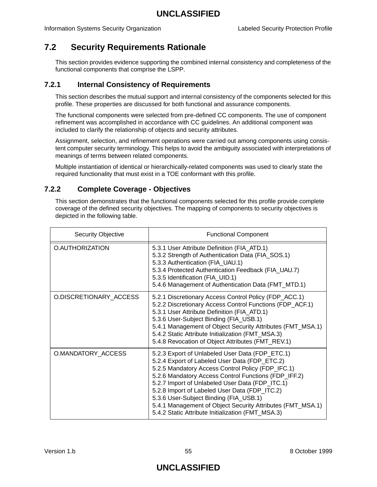## <span id="page-54-0"></span>**7.2 Security Requirements Rationale**

This section provides evidence supporting the combined internal consistency and completeness of the functional components that comprise the LSPP.

#### **7.2.1 Internal Consistency of Requirements**

This section describes the mutual support and internal consistency of the components selected for this profile. These properties are discussed for both functional and assurance components.

The functional components were selected from pre-defined CC components. The use of component refinement was accomplished in accordance with CC guidelines. An additional component was included to clarify the relationship of objects and security attributes.

Assignment, selection, and refinement operations were carried out among components using consistent computer security terminology. This helps to avoid the ambiguity associated with interpretations of meanings of terms between related components.

Multiple instantiation of identical or hierarchically-related components was used to clearly state the required functionality that must exist in a TOE conformant with this profile.

#### **7.2.2 Complete Coverage - Objectives**

This section demonstrates that the functional components selected for this profile provide complete coverage of the defined security objectives. The mapping of components to security objectives is depicted in the following table.

| <b>Security Objective</b> | <b>Functional Component</b>                                                                                                                                                                                                                                                                                                                                                                                                                                                    |
|---------------------------|--------------------------------------------------------------------------------------------------------------------------------------------------------------------------------------------------------------------------------------------------------------------------------------------------------------------------------------------------------------------------------------------------------------------------------------------------------------------------------|
| O.AUTHORIZATION           | 5.3.1 User Attribute Definition (FIA_ATD.1)<br>5.3.2 Strength of Authentication Data (FIA_SOS.1)<br>5.3.3 Authentication (FIA_UAU.1)<br>5.3.4 Protected Authentication Feedback (FIA_UAU.7)<br>5.3.5 Identification (FIA_UID.1)<br>5.4.6 Management of Authentication Data (FMT_MTD.1)                                                                                                                                                                                         |
| O.DISCRETIONARY_ACCESS    | 5.2.1 Discretionary Access Control Policy (FDP_ACC.1)<br>5.2.2 Discretionary Access Control Functions (FDP_ACF.1)<br>5.3.1 User Attribute Definition (FIA_ATD.1)<br>5.3.6 User-Subject Binding (FIA_USB.1)<br>5.4.1 Management of Object Security Attributes (FMT_MSA.1)<br>5.4.2 Static Attribute Initialization (FMT_MSA.3)<br>5.4.8 Revocation of Object Attributes (FMT_REV.1)                                                                                             |
| O.MANDATORY ACCESS        | 5.2.3 Export of Unlabeled User Data (FDP_ETC.1)<br>5.2.4 Export of Labeled User Data (FDP_ETC.2)<br>5.2.5 Mandatory Access Control Policy (FDP_IFC.1)<br>5.2.6 Mandatory Access Control Functions (FDP_IFF.2)<br>5.2.7 Import of Unlabeled User Data (FDP_ITC.1)<br>5.2.8 Import of Labeled User Data (FDP_ITC.2)<br>5.3.6 User-Subject Binding (FIA_USB.1)<br>5.4.1 Management of Object Security Attributes (FMT_MSA.1)<br>5.4.2 Static Attribute Initialization (FMT_MSA.3) |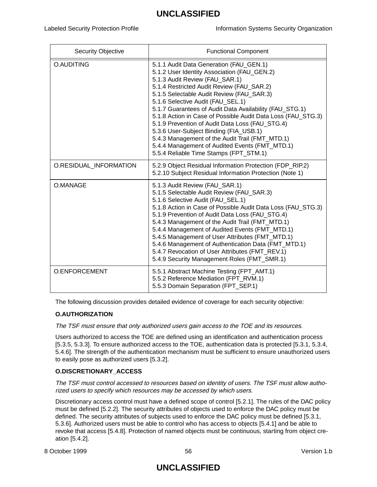| <b>Security Objective</b> | <b>Functional Component</b>                                                                                                                                                                                                                                                                                                                                                                                                                                                                                                                                                                                                    |  |
|---------------------------|--------------------------------------------------------------------------------------------------------------------------------------------------------------------------------------------------------------------------------------------------------------------------------------------------------------------------------------------------------------------------------------------------------------------------------------------------------------------------------------------------------------------------------------------------------------------------------------------------------------------------------|--|
| O.AUDITING                | 5.1.1 Audit Data Generation (FAU_GEN.1)<br>5.1.2 User Identity Association (FAU_GEN.2)<br>5.1.3 Audit Review (FAU_SAR.1)<br>5.1.4 Restricted Audit Review (FAU SAR.2)<br>5.1.5 Selectable Audit Review (FAU_SAR.3)<br>5.1.6 Selective Audit (FAU_SEL.1)<br>5.1.7 Guarantees of Audit Data Availability (FAU_STG.1)<br>5.1.8 Action in Case of Possible Audit Data Loss (FAU_STG.3)<br>5.1.9 Prevention of Audit Data Loss (FAU_STG.4)<br>5.3.6 User-Subject Binding (FIA_USB.1)<br>5.4.3 Management of the Audit Trail (FMT_MTD.1)<br>5.4.4 Management of Audited Events (FMT_MTD.1)<br>5.5.4 Reliable Time Stamps (FPT_STM.1) |  |
| O.RESIDUAL INFORMATION    | 5.2.9 Object Residual Information Protection (FDP_RIP.2)<br>5.2.10 Subject Residual Information Protection (Note 1)                                                                                                                                                                                                                                                                                                                                                                                                                                                                                                            |  |
| O MANAGE                  | 5.1.3 Audit Review (FAU_SAR.1)<br>5.1.5 Selectable Audit Review (FAU_SAR.3)<br>5.1.6 Selective Audit (FAU_SEL.1)<br>5.1.8 Action in Case of Possible Audit Data Loss (FAU_STG.3)<br>5.1.9 Prevention of Audit Data Loss (FAU_STG.4)<br>5.4.3 Management of the Audit Trail (FMT_MTD.1)<br>5.4.4 Management of Audited Events (FMT_MTD.1)<br>5.4.5 Management of User Attributes (FMT_MTD.1)<br>5.4.6 Management of Authentication Data (FMT_MTD.1)<br>5.4.7 Revocation of User Attributes (FMT_REV.1)<br>5.4.9 Security Management Roles (FMT_SMR.1)                                                                           |  |
| O.ENFORCEMENT             | 5.5.1 Abstract Machine Testing (FPT_AMT.1)<br>5.5.2 Reference Mediation (FPT_RVM.1)<br>5.5.3 Domain Separation (FPT_SEP.1)                                                                                                                                                                                                                                                                                                                                                                                                                                                                                                     |  |

The following discussion provides detailed evidence of coverage for each security objective:

#### **[O.AUTHORIZATION](#page-18-0)**

[The TSF must ensure that only authorized users gain access to the TOE and its resources.](#page-18-0)

Users authorized to access the TOE are defined using an identification and authentication process [[5.3.5,](#page-34-0) [5.3.3\].](#page-33-0) To ensure authorized access to the TOE, authentication data is protected [[5.3.1,](#page-32-0) [5.3.4,](#page-33-0) [5.4.6\]](#page-37-0). The strength of the authentication mechanism must be sufficient to ensure unauthorized users to easily pose as authorized users [[5.3.2\].](#page-33-0)

#### **[O.DISCRETIONARY\\_ACCESS](#page-18-0)**

[The TSF must control accessed to resources based on identity of users. The TSF must allow autho](#page-18-0)[rized users to specify which resources may be accessed by which users.](#page-18-0)

Discretionary access control must have a defined scope of control [[5.2.1\]](#page-25-0). The rules of the DAC policy must be defined [[5.2.2\].](#page-25-0) The security attributes of objects used to enforce the DAC policy must be defined. The security attributes of subjects used to enforce the DAC policy must be defined [5.[3.1,](#page-32-0) [5.3.6\]](#page-34-0). Authorized users must be able to control who has access to objects [5.4[.1\] and](#page-35-0) be able to revoke that access [[5.4.8\]](#page-38-0). Protection of named objects must be continuous, starting from object creation [[5.4.2\].](#page-36-0)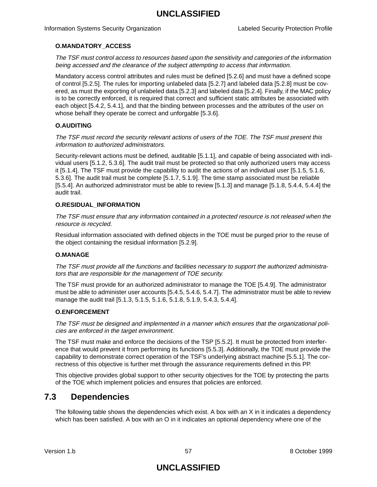#### <span id="page-56-0"></span>**[O.MANDATORY\\_ACCESS](#page-18-0)**

The TSF must control access to resources based upon the sensitivity and [categories](#page-18-0) of the information [being accessed and the clearance of the subject attempting to access that information.](#page-18-0)

Mandatory access control attributes and rules must be defined [5.2.6] and must have a defined scope of control [5.2.5]. The rules for importing unlabeled data [5.2.7] and labeled data [5.2.8] must be covered, as must the exporting of unlabeled data [5.2.3] and labeled data [5.2.4]. Finally, if the MAC policy is to be correctly enforced, it is required that correct and sufficient static attributes be associated with each object [[5.4.2,](#page-36-0) [5.4.1\],](#page-35-0) and that the binding between processes and the attributes of the user on whose behalf they operate be correct and unforgable [5.3.6].

#### **[O.AUDITING](#page-18-0)**

[The TSF must record the security relevant actions of users of the TOE. The TSF must present this](#page-18-0) [information to authorized administrators.](#page-18-0)

Security-relevant actions must be defined, auditable [\[5.1.1\]](#page-20-0), and capable of being associated with individual users [\[5.1.2](#page-22-0), [5.3.6\]](#page-34-0). The audit trail must be protected so that only authorized users may access it [[5.1.4\].](#page-23-0) The TSF must provide the capability to audit the actions of an individual user [5[.1.5, 5.1.6,](#page-23-0) [5.3.6\]](#page-34-0). The audit trail must be complete [[5.1.7, 5.1.9\]. T](#page-24-0)he time stamp associated must be reliable [[5.5.4\]](#page-40-0). An authorized administrator must be able to review [\[5.1.3](#page-22-0)] and manage [\[5.1.8](#page-24-0), [5.4.4](#page-36-0), [5.4.4](#page-36-0)] the audit trail.

#### **[O.RESIDUAL\\_INFORMATION](#page-18-0)**

The TSF must ensure that any information contained in <sup>a</sup> [protected](#page-18-0) resource is not released when the [resource is recycled.](#page-18-0)

Residual information associated with defined objects in the TOE must be purged prior to the reuse of the object containing the residual information [5.[2.9\].](#page-31-0)

#### **[O.MANAGE](#page-18-0)**

[The TSF must provide all the functions and facilities necessary to support the authorized administra](#page-18-0)[tors that are responsible for the management of TOE security.](#page-18-0)

The TSF must provide for an authorized administrator to manage the TOE [[5.4.9\].](#page-38-0) The administrator must be able to administer user accounts [\[5.4.5](#page-37-0), [5.4.6, 5.4.7](#page-37-0)]. The administrator must be able to review manage the audit trail [[5.1.3,](#page-22-0) [5.1.5, 5.1.6, 5](#page-23-0).[1.8, 5](#page-24-0).[1.9, 5.](#page-24-0)[4.3, 5.4.4\].](#page-36-0)

#### **[O.ENFORCEMENT](#page-18-0)**

[The TSF must be designed and implemented in a manner which ensures that the organizational poli](#page-18-0)[cies are enforced in the target environment.](#page-18-0)

The TSF must make and enforce the decisions of the TSP [\[5.5.2\]](#page-39-0). It must be protected from interference that would prevent it from performing its functions [[5.5.3\]](#page-39-0). Additionally, the TOE must provide the capability to demonstrate correct operation of the TSF's underlying abstract machine [[5.5.1\].](#page-39-0) The correctness of this objective is further met through the assurance requirements defined in this PP.

This objective provides global support to other security objectives for the TOE by protecting the parts of the TOE which implement policies and ensures that policies are enforced.

#### **7.3 Dependencies**

The following table shows the dependencies which exist. A box with an X in it indicates a dependency which has been satisfied. A box with an O in it indicates an optional dependency where one of the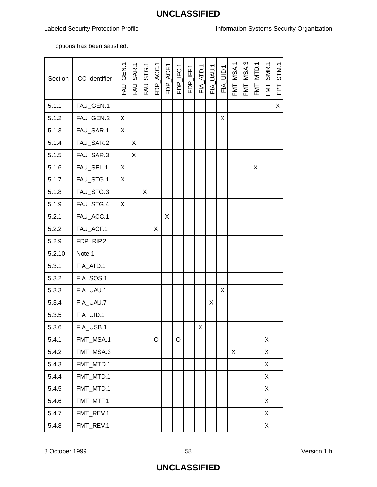options has been satisfied.

| Section | <b>CC</b> Identifier | FAU_GEN.1 | FAU_SAR.1 | <b>FAU_STG.1</b> | FDP_ACC.1 | FDP_ACF.1 | FDP_IFC.1 | FDP_IFF.1 | $FIA\_ATD.1$ | FIA_UAU.1 | $FIA$ _UID.1 | $FMT$ _MSA.1 | FMT_MSA.3 | FMT_MTD.1 | $FMT$ _SMR.1 | FPT_STM.1 |
|---------|----------------------|-----------|-----------|------------------|-----------|-----------|-----------|-----------|--------------|-----------|--------------|--------------|-----------|-----------|--------------|-----------|
| 5.1.1   | FAU_GEN.1            |           |           |                  |           |           |           |           |              |           |              |              |           |           |              | X         |
| 5.1.2   | FAU_GEN.2            | X         |           |                  |           |           |           |           |              |           | X            |              |           |           |              |           |
| 5.1.3   | FAU_SAR.1            | X         |           |                  |           |           |           |           |              |           |              |              |           |           |              |           |
| 5.1.4   | FAU_SAR.2            |           | X         |                  |           |           |           |           |              |           |              |              |           |           |              |           |
| 5.1.5   | FAU_SAR.3            |           | X         |                  |           |           |           |           |              |           |              |              |           |           |              |           |
| 5.1.6   | FAU_SEL.1            | X         |           |                  |           |           |           |           |              |           |              |              |           | X         |              |           |
| 5.1.7   | FAU_STG.1            | X         |           |                  |           |           |           |           |              |           |              |              |           |           |              |           |
| 5.1.8   | FAU_STG.3            |           |           | X                |           |           |           |           |              |           |              |              |           |           |              |           |
| 5.1.9   | FAU_STG.4            | X         |           |                  |           |           |           |           |              |           |              |              |           |           |              |           |
| 5.2.1   | FAU_ACC.1            |           |           |                  |           | X         |           |           |              |           |              |              |           |           |              |           |
| 5.2.2   | FAU_ACF.1            |           |           |                  | X         |           |           |           |              |           |              |              |           |           |              |           |
| 5.2.9   | FDP_RIP.2            |           |           |                  |           |           |           |           |              |           |              |              |           |           |              |           |
| 5.2.10  | Note 1               |           |           |                  |           |           |           |           |              |           |              |              |           |           |              |           |
| 5.3.1   | FIA_ATD.1            |           |           |                  |           |           |           |           |              |           |              |              |           |           |              |           |
| 5.3.2   | FIA_SOS.1            |           |           |                  |           |           |           |           |              |           |              |              |           |           |              |           |
| 5.3.3   | FIA_UAU.1            |           |           |                  |           |           |           |           |              |           | X            |              |           |           |              |           |
| 5.3.4   | FIA_UAU.7            |           |           |                  |           |           |           |           |              | X         |              |              |           |           |              |           |
| 5.3.5   | FIA_UID.1            |           |           |                  |           |           |           |           |              |           |              |              |           |           |              |           |
| 5.3.6   | FIA_USB.1            |           |           |                  |           |           |           |           | Χ            |           |              |              |           |           |              |           |
| 5.4.1   | FMT_MSA.1            |           |           |                  | O         |           | O         |           |              |           |              |              |           |           | X            |           |
| 5.4.2   | FMT_MSA.3            |           |           |                  |           |           |           |           |              |           |              | X            |           |           | X.           |           |
| 5.4.3   | FMT_MTD.1            |           |           |                  |           |           |           |           |              |           |              |              |           |           | X.           |           |
| 5.4.4   | FMT_MTD.1            |           |           |                  |           |           |           |           |              |           |              |              |           |           | X            |           |
| 5.4.5   | FMT_MTD.1            |           |           |                  |           |           |           |           |              |           |              |              |           |           | X            |           |
| 5.4.6   | FMT_MTF.1            |           |           |                  |           |           |           |           |              |           |              |              |           |           | X.           |           |
| 5.4.7   | FMT_REV.1            |           |           |                  |           |           |           |           |              |           |              |              |           |           | X            |           |
| 5.4.8   | FMT_REV.1            |           |           |                  |           |           |           |           |              |           |              |              |           |           | X            |           |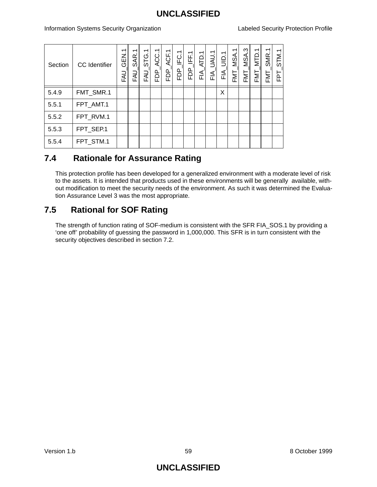#### <span id="page-58-0"></span>Information Systems Security Organization Labeled Security Protection Profile

| Section | <b>CC</b> Identifier | GEN.1<br>FAU. | SAR.1<br><b>EAU</b> | $J$ <sub>STG.1</sub><br>FAU <sub>.</sub> | ACC.1<br>FDP. | ACF.1<br>은<br>민 | IFC <sub>1</sub><br>FDP. | EF <br>FDP. | ATD.1<br>$E\rightarrow$ | UAU.1<br>$\underline{\mathsf{A}}$ | $\overline{D}$<br>$\overline{\mathbb{E}}$ | MSA.1<br>FMT | Ċ.<br>MSA<br>FMT <sub>.</sub> | MED.1<br>FMT <sub>.</sub> | $-SMR.1$<br><b>FMT</b> | $-STM.1$<br>급 |
|---------|----------------------|---------------|---------------------|------------------------------------------|---------------|-----------------|--------------------------|-------------|-------------------------|-----------------------------------|-------------------------------------------|--------------|-------------------------------|---------------------------|------------------------|---------------|
| 5.4.9   | FMT_SMR.1            |               |                     |                                          |               |                 |                          |             |                         |                                   | X                                         |              |                               |                           |                        |               |
| 5.5.1   | FPT AMT.1            |               |                     |                                          |               |                 |                          |             |                         |                                   |                                           |              |                               |                           |                        |               |
| 5.5.2   | FPT RVM.1            |               |                     |                                          |               |                 |                          |             |                         |                                   |                                           |              |                               |                           |                        |               |
| 5.5.3   | FPT SEP.1            |               |                     |                                          |               |                 |                          |             |                         |                                   |                                           |              |                               |                           |                        |               |
| 5.5.4   | FPT STM.1            |               |                     |                                          |               |                 |                          |             |                         |                                   |                                           |              |                               |                           |                        |               |

## **7.4 Rationale for Assurance Rating**

This protection profile has been developed for a generalized environment with a moderate level of risk to the assets. It is intended that products used in these environments will be generally available, without modification to meet the security needs of the environment. As such it was determined the Evaluation Assurance Level 3 was the most appropriate.

## **7.5 Rational for SOF Rating**

The strength of function rating of SOF-medium is consistent with the SFR FIA\_SOS.1 by providing a 'one off' probability of guessing the password in 1,000,000. This SFR is in turn consistent with the security objectives described in section 7.2.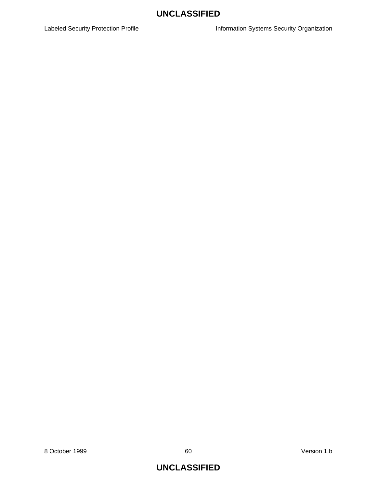Labeled Security Protection Profile **Information Systems Security Organization**